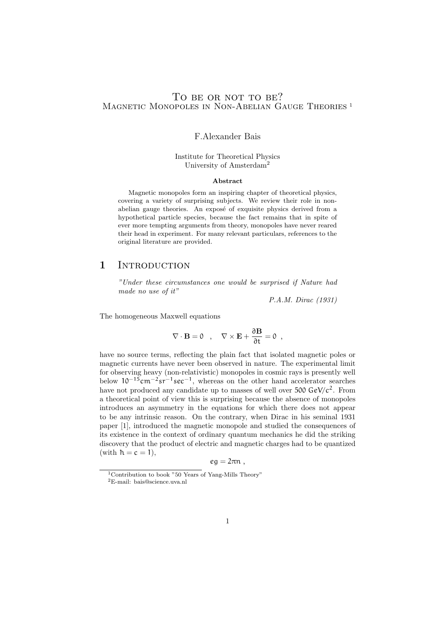## TO BE OR NOT TO BE? MAGNETIC MONOPOLES IN NON-ABELIAN GAUGE THEORIES<sup>1</sup>

### F.Alexander Bais

#### Institute for Theoretical Physics University of Amsterdam<sup>2</sup>

#### Abstract

Magnetic monopoles form an inspiring chapter of theoretical physics, covering a variety of surprising subjects. We review their role in nonabelian gauge theories. An exposé of exquisite physics derived from a hypothetical particle species, because the fact remains that in spite of ever more tempting arguments from theory, monopoles have never reared their head in experiment. For many relevant particulars, references to the original literature are provided.

## 1 INTRODUCTION

"Under these circumstances one would be surprised if Nature had made no use of it"

P.A.M. Dirac (1931)

The homogeneous Maxwell equations

$$
\nabla \cdot \mathbf{B} = 0 \quad , \quad \nabla \times \mathbf{E} + \frac{\partial \mathbf{B}}{\partial t} = 0 \quad ,
$$

have no source terms, reflecting the plain fact that isolated magnetic poles or magnetic currents have never been observed in nature. The experimental limit for observing heavy (non-relativistic) monopoles in cosmic rays is presently well below  $10^{-15}$ cm<sup>-2</sup>sr<sup>-1</sup>sec<sup>-1</sup>, whereas on the other hand accelerator searches have not produced any candidate up to masses of well over  $500 \text{ GeV}/c^2$ . From a theoretical point of view this is surprising because the absence of monopoles introduces an asymmetry in the equations for which there does not appear to be any intrinsic reason. On the contrary, when Dirac in his seminal 1931 paper [1], introduced the magnetic monopole and studied the consequences of its existence in the context of ordinary quantum mechanics he did the striking discovery that the product of electric and magnetic charges had to be quantized (with  $\hbar = c = 1$ ),

$$
eg=2\pi n\;,
$$

<sup>&</sup>lt;sup>1</sup>Contribution to book "50 Years of Yang-Mills Theory"

<sup>2</sup>E-mail: bais@science.uva.nl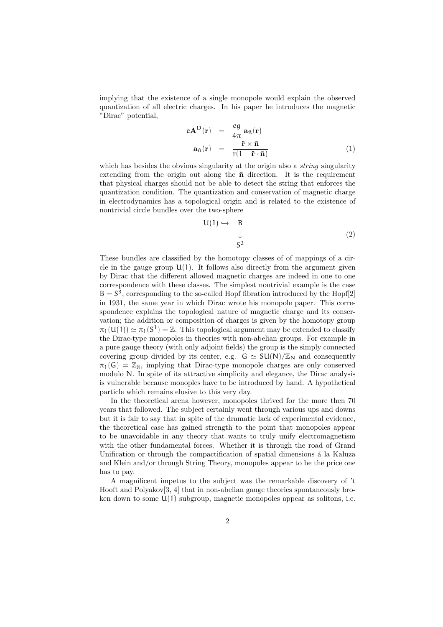implying that the existence of a single monopole would explain the observed quantization of all electric charges. In his paper he introduces the magnetic "Dirac" potential,

$$
eAD(\mathbf{r}) = \frac{eg}{4\pi} a_{\hat{\pi}}(\mathbf{r})
$$
  

$$
a_{\hat{\pi}}(\mathbf{r}) = \frac{\hat{\mathbf{r}} \times \hat{\mathbf{n}}}{r(1 - \hat{\mathbf{r}} \cdot \hat{\mathbf{n}})}
$$
(1)

which has besides the obvious singularity at the origin also a *string* singularity extending from the origin out along the  $\hat{\mathbf{n}}$  direction. It is the requirement that physical charges should not be able to detect the string that enforces the quantization condition. The quantization and conservation of magnetic charge in electrodynamics has a topological origin and is related to the existence of nontrivial circle bundles over the two-sphere

$$
U(1) \hookrightarrow B
$$
  
\n
$$
\downarrow
$$
  
\n
$$
S^2
$$
 (2)

These bundles are classified by the homotopy classes of of mappings of a circle in the gauge group  $U(1)$ . It follows also directly from the argument given by Dirac that the different allowed magnetic charges are indeed in one to one correspondence with these classes. The simplest nontrivial example is the case  $B = S<sup>3</sup>$ , corresponding to the so-called Hopf fibration introduced by the Hopf[2] in 1931, the same year in which Dirac wrote his monopole paper. This correspondence explains the topological nature of magnetic charge and its conservation; the addition or composition of charges is given by the homotopy group  $\pi_1(U(1)) \simeq \pi_1(S^1) = \mathbb{Z}$ . This topological argument may be extended to classify the Dirac-type monopoles in theories with non-abelian groups. For example in a pure gauge theory (with only adjoint fields) the group is the simply connected covering group divided by its center, e.g.  $G \simeq SU(N)/\mathbb{Z}_N$  and consequently  $\pi_1(G) = \mathbb{Z}_N$ , implying that Dirac-type monopole charges are only conserved modulo N. In spite of its attractive simplicity and elegance, the Dirac analysis is vulnerable because monoples have to be introduced by hand. A hypothetical particle which remains elusive to this very day.

In the theoretical arena however, monopoles thrived for the more then 70 years that followed. The subject certainly went through various ups and downs but it is fair to say that in spite of the dramatic lack of experimental evidence, the theoretical case has gained strength to the point that monopoles appear to be unavoidable in any theory that wants to truly unify electromagnetism with the other fundamental forces. Whether it is through the road of Grand Unification or through the compactification of spatial dimensions  $\acute{a}$  la Kaluza and Klein and/or through String Theory, monopoles appear to be the price one has to pay.

A magnificent impetus to the subject was the remarkable discovery of 't Hooft and Polyakov[3, 4] that in non-abelian gauge theories spontaneously broken down to some  $U(1)$  subgroup, magnetic monopoles appear as solitons, i.e.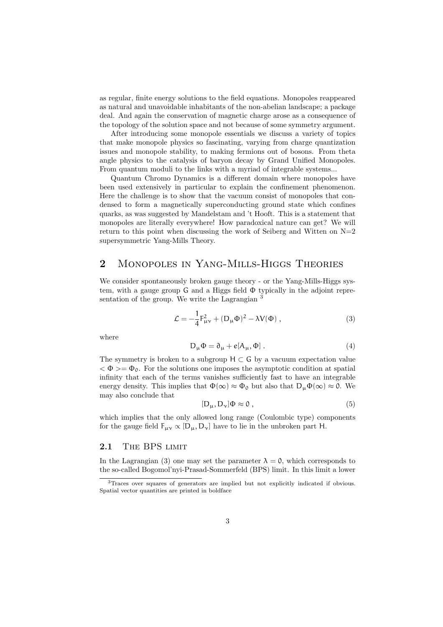as regular, finite energy solutions to the field equations. Monopoles reappeared as natural and unavoidable inhabitants of the non-abelian landscape; a package deal. And again the conservation of magnetic charge arose as a consequence of the topology of the solution space and not because of some symmetry argument.

After introducing some monopole essentials we discuss a variety of topics that make monopole physics so fascinating, varying from charge quantization issues and monopole stability, to making fermions out of bosons. From theta angle physics to the catalysis of baryon decay by Grand Unified Monopoles. From quantum moduli to the links with a myriad of integrable systems...

Quantum Chromo Dynamics is a different domain where monopoles have been used extensively in particular to explain the confinement phenomenon. Here the challenge is to show that the vacuum consist of monopoles that condensed to form a magnetically superconducting ground state which confines quarks, as was suggested by Mandelstam and 't Hooft. This is a statement that monopoles are literally everywhere! How paradoxical nature can get? We will return to this point when discussing the work of Seiberg and Witten on  $N=2$ supersymmetric Yang-Mills Theory.

## 2 Monopoles in Yang-Mills-Higgs Theories

We consider spontaneously broken gauge theory - or the Yang-Mills-Higgs system, with a gauge group G and a Higgs field Φ typically in the adjoint representation of the group. We write the Lagrangian <sup>3</sup>

$$
\mathcal{L} = -\frac{1}{4}F_{\mu\nu}^2 + (D_{\mu}\Phi)^2 - \lambda V(\Phi) , \qquad (3)
$$

where

$$
D_{\mu}\Phi = \partial_{\mu} + e[A_{\mu}, \Phi] \tag{4}
$$

The symmetry is broken to a subgroup  $H \subset G$  by a vacuum expectation value  $<\Phi>=\Phi_0$ . For the solutions one imposes the asymptotic condition at spatial infinity that each of the terms vanishes sufficiently fast to have an integrable energy density. This implies that  $\Phi(\infty) \approx \Phi_0$  but also that  $D_\mu \Phi(\infty) \approx 0$ . We may also conclude that

$$
[D_{\mu}, D_{\nu}]\Phi \approx 0 , \qquad (5)
$$

which implies that the only allowed long range (Coulombic type) components for the gauge field  $F_{\mu\nu} \propto [D_{\mu}, D_{\nu}]$  have to lie in the unbroken part H.

### 2.1 THE BPS LIMIT

In the Lagrangian (3) one may set the parameter  $\lambda = 0$ , which corresponds to the so-called Bogomol'nyi-Prasad-Sommerfeld (BPS) limit. In this limit a lower

<sup>3</sup>Traces over squares of generators are implied but not explicitly indicated if obvious. Spatial vector quantities are printed in boldface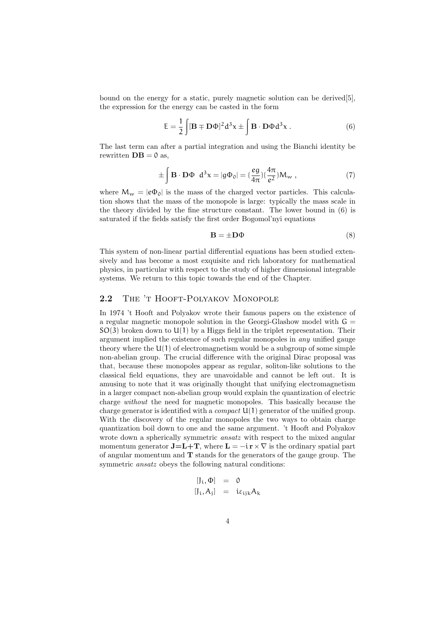bound on the energy for a static, purely magnetic solution can be derived[5], the expression for the energy can be casted in the form

$$
E = \frac{1}{2} \int [\mathbf{B} \mp \mathbf{D} \Phi]^2 d^3 x \pm \int \mathbf{B} \cdot \mathbf{D} \Phi d^3 x . \tag{6}
$$

The last term can after a partial integration and using the Bianchi identity be rewritten  $DB = 0$  as,

$$
\pm \int \mathbf{B} \cdot \mathbf{D} \Phi \ d^3 x = |g\Phi_0| = \left(\frac{eg}{4\pi}\right) \left(\frac{4\pi}{e^2}\right) M_w , \qquad (7)
$$

where  $M_w = |e\Phi_0|$  is the mass of the charged vector particles. This calculation shows that the mass of the monopole is large: typically the mass scale in the theory divided by the fine structure constant. The lower bound in (6) is saturated if the fields satisfy the first order Bogomol'nyi equations

$$
\mathbf{B} = \pm \mathbf{D} \Phi \tag{8}
$$

This system of non-linear partial differential equations has been studied extensively and has become a most exquisite and rich laboratory for mathematical physics, in particular with respect to the study of higher dimensional integrable systems. We return to this topic towards the end of the Chapter.

#### 2.2 THE 'T HOOFT-POLYAKOV MONOPOLE

In 1974 't Hooft and Polyakov wrote their famous papers on the existence of a regular magnetic monopole solution in the Georgi-Glashow model with  $G =$  $SO(3)$  broken down to  $U(1)$  by a Higgs field in the triplet representation. Their argument implied the existence of such regular monopoles in any unified gauge theory where the  $U(1)$  of electromagnetism would be a subgroup of some simple non-abelian group. The crucial difference with the original Dirac proposal was that, because these monopoles appear as regular, soliton-like solutions to the classical field equations, they are unavoidable and cannot be left out. It is amusing to note that it was originally thought that unifying electromagnetism in a larger compact non-abelian group would explain the quantization of electric charge without the need for magnetic monopoles. This basically because the charge generator is identified with a *compact*  $U(1)$  generator of the unified group. With the discovery of the regular monopoles the two ways to obtain charge quantization boil down to one and the same argument. 't Hooft and Polyakov wrote down a spherically symmetric *ansatz* with respect to the mixed angular momentum generator  $\mathbf{J}=\mathbf{L}+\mathbf{T}$ , where  $\mathbf{L}=-i\,\mathbf{r}\times\nabla$  is the ordinary spatial part of angular momentum and  $\bf{T}$  stands for the generators of the gauge group. The symmetric *ansatz* obeys the following natural conditions:

$$
\begin{array}{rcl}\n[J_i, \Phi] & = & 0\\ \n[J_i, A_j] & = & i\varepsilon_{ijk} A_k\n\end{array}
$$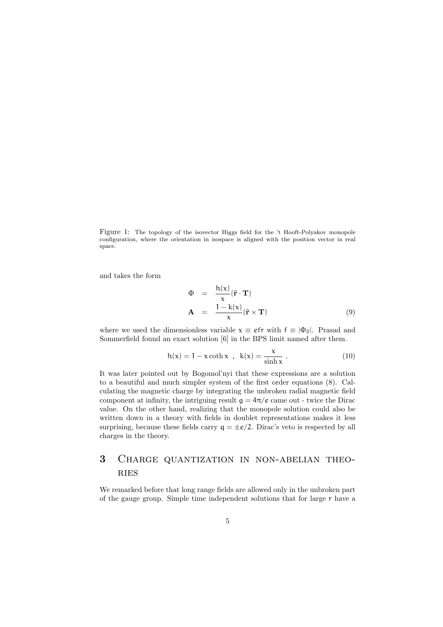Figure 1: The topology of the isovector Higgs field for the 't Hooft-Polyakov monopole configuration, where the orientation in isospace is aligned with the position vector in real space.

and takes the form

$$
\Phi = \frac{h(x)}{x} (\hat{\mathbf{r}} \cdot \mathbf{T})
$$
  
\n
$$
\mathbf{A} = \frac{1 - k(x)}{x} (\hat{\mathbf{r}} \times \mathbf{T})
$$
 (9)

where we used the dimensionless variable  $x \equiv e f r$  with  $f \equiv |\Phi_0|$ . Prasad and Sommerfield found an exact solution [6] in the BPS limit named after them.

$$
h(x) = 1 - x \coth x , k(x) = \frac{x}{\sinh x} .
$$
 (10)

It was later pointed out by Bogomol'nyi that these expressions are a solution to a beautiful and much simpler system of the first order equations (8). Calculating the magnetic charge by integrating the unbroken radial magnetic field component at infinity, the intriguing result  $g = 4\pi/e$  came out - twice the Dirac value. On the other hand, realizing that the monopole solution could also be written down in a theory with fields in doublet representations makes it less surprising, because these fields carry  $q = \pm e/2$ . Dirac's veto is respected by all charges in the theory.

# 3 Charge quantization in non-abelian theo-**RIES**

We remarked before that long range fields are allowed only in the unbroken part of the gauge group. Simple time independent solutions that for large r have a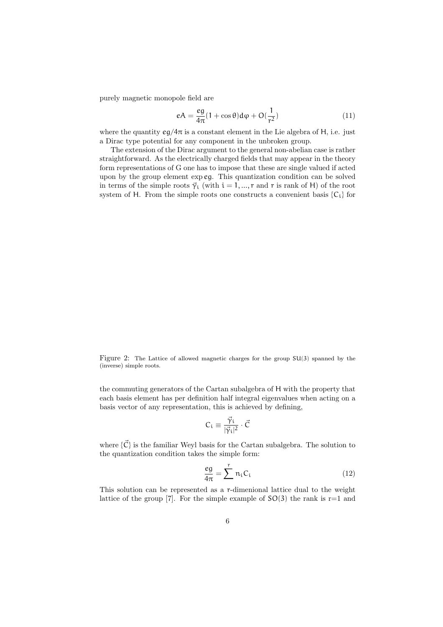purely magnetic monopole field are

$$
eA = \frac{eg}{4\pi} (1 + \cos \theta) d\varphi + O(\frac{1}{r^2})
$$
\n(11)

where the quantity  $eg/4\pi$  is a constant element in the Lie algebra of H, i.e. just a Dirac type potential for any component in the unbroken group.

The extension of the Dirac argument to the general non-abelian case is rather straightforward. As the electrically charged fields that may appear in the theory form representations of G one has to impose that these are single valued if acted upon by the group element exp eg. This quantization condition can be solved in terms of the simple roots  $\vec{\gamma}_i$  (with  $i = 1, ..., r$  and r is rank of H) of the root system of H. From the simple roots one constructs a convenient basis  ${C_i}$  for

Figure 2: The Lattice of allowed magnetic charges for the group SU(3) spanned by the (inverse) simple roots.

the commuting generators of the Cartan subalgebra of H with the property that each basis element has per definition half integral eigenvalues when acting on a basis vector of any representation, this is achieved by defining,

$$
C_i \equiv \frac{\vec{\gamma}_i}{|\vec{\gamma}_i|^2} \cdot \vec{C}
$$

where  $\{\vec{C}\}\$ is the familiar Weyl basis for the Cartan subalgebra. The solution to the quantization condition takes the simple form:

$$
\frac{eg}{4\pi} = \sum_{i=1}^{r} n_i C_i \tag{12}
$$

This solution can be represented as a r-dimenional lattice dual to the weight lattice of the group [7]. For the simple example of  $SO(3)$  the rank is r=1 and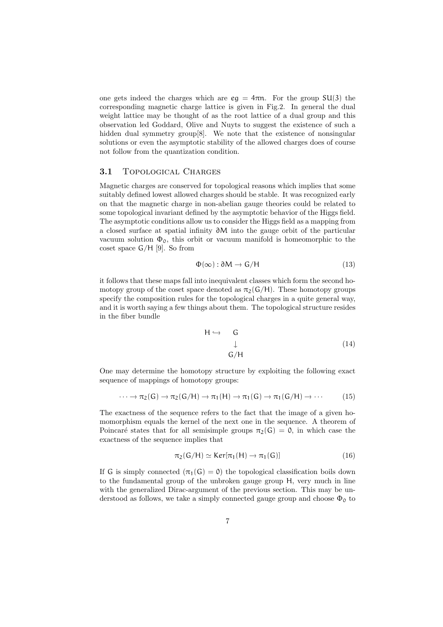one gets indeed the charges which are  $eq = 4\pi n$ . For the group SU(3) the corresponding magnetic charge lattice is given in Fig.2. In general the dual weight lattice may be thought of as the root lattice of a dual group and this observation led Goddard, Olive and Nuyts to suggest the existence of such a hidden dual symmetry group<sup>[8]</sup>. We note that the existence of nonsingular solutions or even the asymptotic stability of the allowed charges does of course not follow from the quantization condition.

#### 3.1 Topological Charges

Magnetic charges are conserved for topological reasons which implies that some suitably defined lowest allowed charges should be stable. It was recognized early on that the magnetic charge in non-abelian gauge theories could be related to some topological invariant defined by the asymptotic behavior of the Higgs field. The asymptotic conditions allow us to consider the Higgs field as a mapping from a closed surface at spatial infinity ∂M into the gauge orbit of the particular vacuum solution  $\Phi_0$ , this orbit or vacuum manifold is homeomorphic to the coset space G/H [9]. So from

$$
\Phi(\infty) : \partial M \to G/H \tag{13}
$$

it follows that these maps fall into inequivalent classes which form the second homotopy group of the coset space denoted as  $\pi_2(G/H)$ . These homotopy groups specify the composition rules for the topological charges in a quite general way, and it is worth saying a few things about them. The topological structure resides in the fiber bundle

$$
H \hookrightarrow G
$$
  
\n
$$
\downarrow G/H
$$
  
\n(14)

One may determine the homotopy structure by exploiting the following exact sequence of mappings of homotopy groups:

$$
\cdots \to \pi_2(G) \to \pi_2(G/H) \to \pi_1(H) \to \pi_1(G) \to \pi_1(G/H) \to \cdots
$$
 (15)

The exactness of the sequence refers to the fact that the image of a given homomorphism equals the kernel of the next one in the sequence. A theorem of Poincaré states that for all semisimple groups  $\pi_2(G) = 0$ , in which case the exactness of the sequence implies that

$$
\pi_2(G/H) \simeq \text{Ker}[\pi_1(H) \to \pi_1(G)] \tag{16}
$$

If G is simply connected  $(\pi_1(G) = 0)$  the topological classification boils down to the fundamental group of the unbroken gauge group H, very much in line with the generalized Dirac-argument of the previous section. This may be understood as follows, we take a simply connected gauge group and choose  $\Phi_0$  to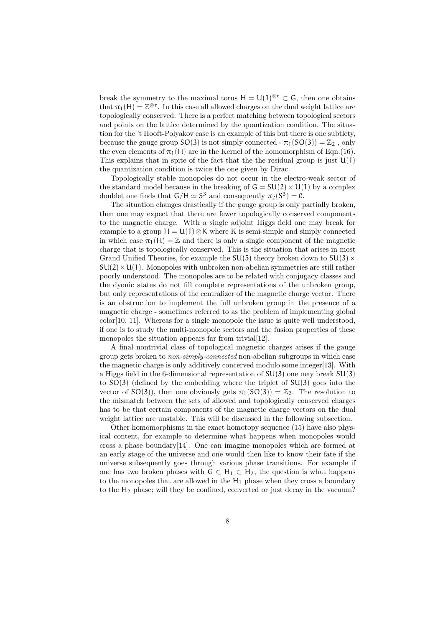break the symmetry to the maximal torus  $H = U(1)^{\otimes r} \subset G$ , then one obtains that  $\pi_1(H) = \mathbb{Z}^{\otimes r}$ . In this case all allowed charges on the dual weight lattice are topologically conserved. There is a perfect matching between topological sectors and points on the lattice determined by the quantization condition. The situation for the 't Hooft-Polyakov case is an example of this but there is one subtlety, because the gauge group  $SO(3)$  is not simply connected -  $\pi_1(SO(3)) = \mathbb{Z}_2$ , only the even elements of  $\pi_1(H)$  are in the Kernel of the homomorphism of Eqn.(16). This explains that in spite of the fact that the the residual group is just  $U(1)$ the quantization condition is twice the one given by Dirac.

Topologically stable monopoles do not occur in the electro-weak sector of the standard model because in the breaking of  $G = SU(2) \times U(1)$  by a complex doublet one finds that  $G/H \simeq S^3$  and consequently  $\pi_2(S^3) = 0$ .

The situation changes drastically if the gauge group is only partially broken, then one may expect that there are fewer topologically conserved components to the magnetic charge. With a single adjoint Higgs field one may break for example to a group  $H = U(1) \otimes K$  where K is semi-simple and simply connected in which case  $\pi_1(H) = \mathbb{Z}$  and there is only a single component of the magnetic charge that is topologically conserved. This is the situation that arises in most Grand Unified Theories, for example the  $SU(5)$  theory broken down to  $SU(3)$  $SU(2) \times U(1)$ . Monopoles with unbroken non-abelian symmetries are still rather poorly understood. The monopoles are to be related with conjugacy classes and the dyonic states do not fill complete representations of the unbroken group, but only representations of the centralizer of the magnetic charge vector. There is an obstruction to implement the full unbroken group in the presence of a magnetic charge - sometimes referred to as the problem of implementing global color[10, 11]. Whereas for a single monopole the issue is quite well understood, if one is to study the multi-monopole sectors and the fusion properties of these monopoles the situation appears far from trivial[12].

A final nontrivial class of topological magnetic charges arises if the gauge group gets broken to non-simply-connected non-abelian subgroups in which case the magnetic charge is only additively concerved modulo some integer[13]. With a Higgs field in the 6-dimensional representation of SU(3) one may break SU(3) to  $SO(3)$  (defined by the embedding where the triplet of  $SU(3)$  goes into the vector of  $SO(3)$ , then one obviously gets  $\pi_1(SO(3)) = \mathbb{Z}_2$ . The resolution to the mismatch between the sets of allowed and topologically conserved charges has to be that certain components of the magnetic charge vectors on the dual weight lattice are unstable. This will be discussed in the following subsection.

Other homomorphisms in the exact homotopy sequence (15) have also physical content, for example to determine what happens when monopoles would cross a phase boundary[14]. One can imagine monopoles which are formed at an early stage of the universe and one would then like to know their fate if the universe subsequently goes through various phase transitions. For example if one has two broken phases with  $G \subset H_1 \subset H_2$ , the question is what happens to the monopoles that are allowed in the  $H_1$  phase when they cross a boundary to the H<sup>2</sup> phase; will they be confined, converted or just decay in the vacuum?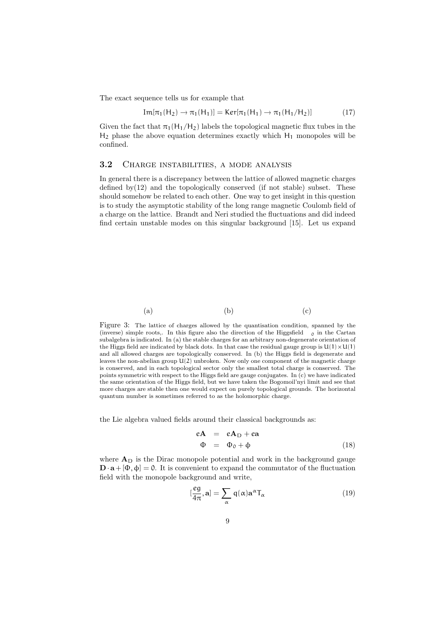The exact sequence tells us for example that

$$
Im[\pi_1(H_2) \to \pi_1(H_1)] = Ker[\pi_1(H_1) \to \pi_1(H_1/H_2)]
$$
 (17)

Given the fact that  $\pi_1(H_1/H_2)$  labels the topological magnetic flux tubes in the  $H_2$  phase the above equation determines exactly which  $H_1$  monopoles will be confined.

#### 3.2 Charge instabilities, a mode analysis

In general there is a discrepancy between the lattice of allowed magnetic charges defined by $(12)$  and the topologically conserved (if not stable) subset. These should somehow be related to each other. One way to get insight in this question is to study the asymptotic stability of the long range magnetic Coulomb field of a charge on the lattice. Brandt and Neri studied the fluctuations and did indeed find certain unstable modes on this singular background [15]. Let us expand



Figure 3: The lattice of charges allowed by the quantisation condition, spanned by the (inverse) simple roots,. In this figure also the direction of the Higgsfield  $\overline{0}$  in the Cartan subalgebra is indicated. In (a) the stable charges for an arbitrary non-degenerate orientation of the Higgs field are indicated by black dots. In that case the residual gauge group is  $U(1) \times U(1)$ and all allowed charges are topologically conserved. In (b) the Higgs field is degenerate and leaves the non-abelian group U(2) unbroken. Now only one component of the magnetic charge is conserved, and in each topological sector only the smallest total charge is conserved. The points symmetric with respect to the Higgs field are gauge conjugates. In (c) we have indicated the same orientation of the Higgs field, but we have taken the Bogomoil'nyi limit and see that more charges are stable then one would expect on purely topological grounds. The horizontal quantum number is sometimes referred to as the holomorphic charge.

the Lie algebra valued fields around their classical backgrounds as:

$$
eA = eAD + ea
$$
  
\n
$$
\Phi = \Phi_0 + \phi
$$
 (18)

where  $A_D$  is the Dirac monopole potential and work in the background gauge  $\mathbf{D} \cdot \mathbf{a} + [\Phi, \phi] = 0$ . It is convenient to expand the commutator of the fluctuation field with the monopole background and write,

$$
[\frac{eg}{4\pi}, \mathbf{a}] = \sum_{\alpha} q(\alpha) \mathbf{a}^{\alpha} \mathsf{T}_{\alpha}
$$
 (19)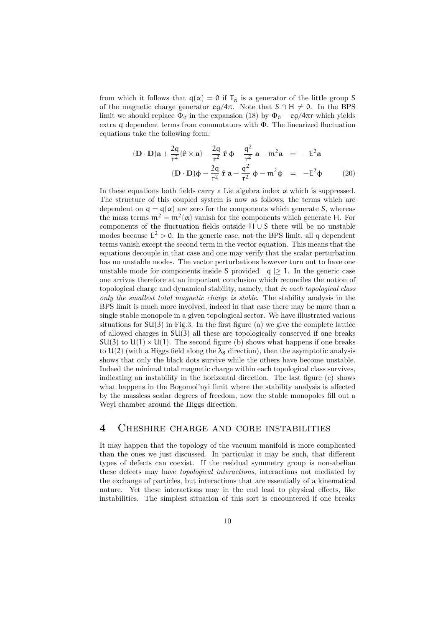from which it follows that  $q(\alpha) = 0$  if  $T_{\alpha}$  is a generator of the little group S of the magnetic charge generator  $eg/4\pi$ . Note that  $S \cap H \neq \emptyset$ . In the BPS limit we should replace  $\Phi_0$  in the expansion (18) by  $\Phi_0 - eg/4\pi r$  which yields extra q dependent terms from commutators with Φ. The linearized fluctuation equations take the following form:

$$
(\mathbf{D} \cdot \mathbf{D})\mathbf{a} + \frac{2\mathbf{q}}{\mathbf{r}^2} (\hat{\mathbf{r}} \times \mathbf{a}) - \frac{2\mathbf{q}}{\mathbf{r}^2} \hat{\mathbf{r}} \Phi - \frac{\mathbf{q}^2}{\mathbf{r}^2} \mathbf{a} - \mathbf{m}^2 \mathbf{a} = -\mathbf{E}^2 \mathbf{a}
$$
  

$$
(\mathbf{D} \cdot \mathbf{D})\Phi - \frac{2\mathbf{q}}{\mathbf{r}^2} \hat{\mathbf{r}} \mathbf{a} - \frac{\mathbf{q}^2}{\mathbf{r}^2} \Phi - \mathbf{m}^2 \Phi = -\mathbf{E}^2 \Phi
$$
 (20)

In these equations both fields carry a Lie algebra index  $\alpha$  which is suppressed. The structure of this coupled system is now as follows, the terms which are dependent on  $q = q(\alpha)$  are zero for the components which generate S, whereas the mass terms  $m^2 = m^2(\alpha)$  vanish for the components which generate H. For components of the fluctuation fields outside H ∪ S there will be no unstable modes because  $E^2 > 0$ . In the generic case, not the BPS limit, all q dependent terms vanish except the second term in the vector equation. This means that the equations decouple in that case and one may verify that the scalar perturbation has no unstable modes. The vector perturbations however turn out to have one unstable mode for components inside S provided  $| \mathbf{q} | \geq 1$ . In the generic case one arrives therefore at an important conclusion which reconciles the notion of topological charge and dynamical stability, namely, that in each topological class only the smallest total magnetic charge is stable. The stability analysis in the BPS limit is much more involved, indeed in that case there may be more than a single stable monopole in a given topological sector. We have illustrated various situations for  $SU(3)$  in Fig.3. In the first figure (a) we give the complete lattice of allowed charges in  $SU(3)$  all these are topologically conserved if one breaks  $SU(3)$  to  $U(1) \times U(1)$ . The second figure (b) shows what happens if one breaks to  $U(2)$  (with a Higgs field along the  $\lambda_8$  direction), then the asymptotic analysis shows that only the black dots survive while the others have become unstable. Indeed the minimal total magnetic charge within each topological class survives, indicating an instability in the horizontal direction. The last figure (c) shows what happens in the Bogomol'nyi limit where the stability analysis is affected by the massless scalar degrees of freedom, now the stable monopoles fill out a Weyl chamber around the Higgs direction.

## 4 Cheshire charge and core instabilities

It may happen that the topology of the vacuum manifold is more complicated than the ones we just discussed. In particular it may be such, that different types of defects can coexist. If the residual symmetry group is non-abelian these defects may have topological interactions, interactions not mediated by the exchange of particles, but interactions that are essentially of a kinematical nature. Yet these interactions may in the end lead to physical effects, like instabilities. The simplest situation of this sort is encountered if one breaks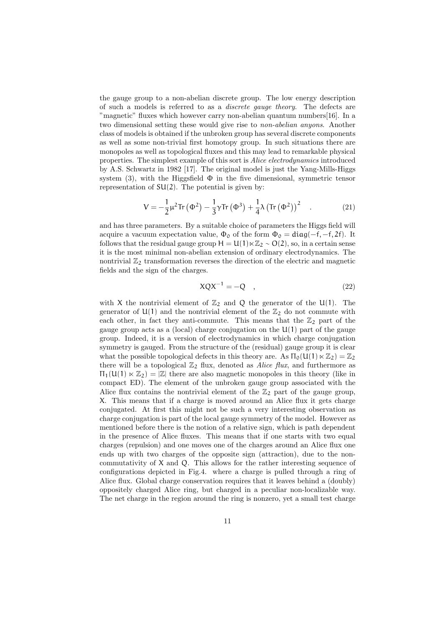the gauge group to a non-abelian discrete group. The low energy description of such a models is referred to as a discrete gauge theory. The defects are "magnetic" fluxes which however carry non-abelian quantum numbers[16]. In a two dimensional setting these would give rise to non-abelian anyons. Another class of models is obtained if the unbroken group has several discrete components as well as some non-trivial first homotopy group. In such situations there are monopoles as well as topological fluxes and this may lead to remarkable physical properties. The simplest example of this sort is Alice electrodynamics introduced by A.S. Schwartz in 1982 [17]. The original model is just the Yang-Mills-Higgs system (3), with the Higgsfield  $\Phi$  in the five dimensional, symmetric tensor representation of  $SU(2)$ . The potential is given by:

$$
V = -\frac{1}{2}\mu^2 \text{Tr}(\Phi^2) - \frac{1}{3}\gamma \text{Tr}(\Phi^3) + \frac{1}{4}\lambda (\text{Tr}(\Phi^2))^2 \quad . \tag{21}
$$

and has three parameters. By a suitable choice of parameters the Higgs field will acquire a vacuum expectation value,  $\Phi_0$  of the form  $\Phi_0 = \text{diag}(-f, -f, 2f)$ . It follows that the residual gauge group  $H = U(1) \ltimes \mathbb{Z}_2 \sim O(2)$ , so, in a certain sense it is the most minimal non-abelian extension of ordinary electrodynamics. The nontrivial  $\mathbb{Z}_2$  transformation reverses the direction of the electric and magnetic fields and the sign of the charges.

$$
XQX^{-1} = -Q \quad , \tag{22}
$$

with X the nontrivial element of  $\mathbb{Z}_2$  and Q the generator of the U(1). The generator of  $U(1)$  and the nontrivial element of the  $\mathbb{Z}_2$  do not commute with each other, in fact they anti-commute. This means that the  $\mathbb{Z}_2$  part of the gauge group acts as a (local) charge conjugation on the  $U(1)$  part of the gauge group. Indeed, it is a version of electrodynamics in which charge conjugation symmetry is gauged. From the structure of the (residual) gauge group it is clear what the possible topological defects in this theory are. As  $\Pi_0(\mathsf{U}(1)\ltimes \mathbb{Z}_2) = \mathbb{Z}_2$ there will be a topological  $\mathbb{Z}_2$  flux, denoted as Alice flux, and furthermore as  $\Pi_1(\mathsf{U}(1) \ltimes \mathbb{Z}_2) = |\mathbb{Z}|$  there are also magnetic monopoles in this theory (like in compact ED). The element of the unbroken gauge group associated with the Alice flux contains the nontrivial element of the  $\mathbb{Z}_2$  part of the gauge group, X. This means that if a charge is moved around an Alice flux it gets charge conjugated. At first this might not be such a very interesting observation as charge conjugation is part of the local gauge symmetry of the model. However as mentioned before there is the notion of a relative sign, which is path dependent in the presence of Alice fluxes. This means that if one starts with two equal charges (repulsion) and one moves one of the charges around an Alice flux one ends up with two charges of the opposite sign (attraction), due to the noncommutativity of X and Q. This allows for the rather interesting sequence of configurations depicted in Fig.4. where a charge is pulled through a ring of Alice flux. Global charge conservation requires that it leaves behind a (doubly) oppositely charged Alice ring, but charged in a peculiar non-localizable way. The net charge in the region around the ring is nonzero, yet a small test charge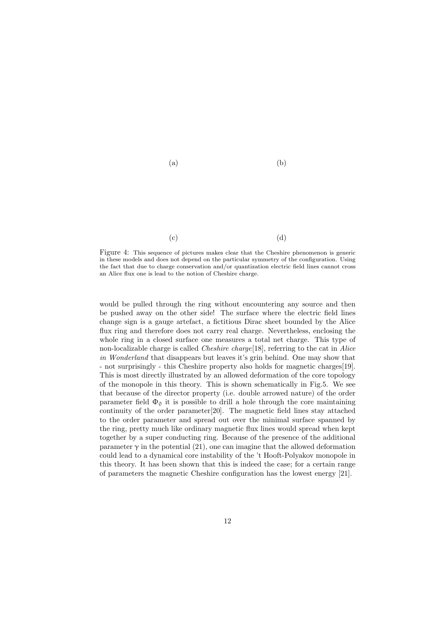

 $\qquad \qquad \textbf{(c)}\qquad \qquad \textbf{(d)}$ 

Figure 4: This sequence of pictures makes clear that the Cheshire phenomenon is generic in these models and does not depend on the particular symmetry of the configuration. Using the fact that due to charge conservation and/or quantization electric field lines cannot cross an Alice flux one is lead to the notion of Cheshire charge.

would be pulled through the ring without encountering any source and then be pushed away on the other side! The surface where the electric field lines change sign is a gauge artefact, a fictitious Dirac sheet bounded by the Alice flux ring and therefore does not carry real charge. Nevertheless, enclosing the whole ring in a closed surface one measures a total net charge. This type of non-localizable charge is called Cheshire charge[18], referring to the cat in Alice in Wonderland that disappears but leaves it's grin behind. One may show that - not surprisingly - this Cheshire property also holds for magnetic charges[19]. This is most directly illustrated by an allowed deformation of the core topology of the monopole in this theory. This is shown schematically in Fig.5. We see that because of the director property (i.e. double arrowed nature) of the order parameter field  $\Phi_0$  it is possible to drill a hole through the core maintaining continuity of the order parameter[20]. The magnetic field lines stay attached to the order parameter and spread out over the minimal surface spanned by the ring, pretty much like ordinary magnetic flux lines would spread when kept together by a super conducting ring. Because of the presence of the additional parameter  $\gamma$  in the potential (21), one can imagine that the allowed deformation could lead to a dynamical core instability of the 't Hooft-Polyakov monopole in this theory. It has been shown that this is indeed the case; for a certain range of parameters the magnetic Cheshire configuration has the lowest energy [21].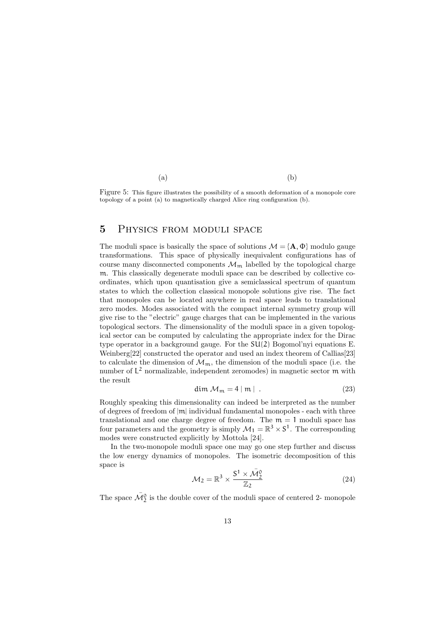$(a)$  (b)

Figure 5: This figure illustrates the possibility of a smooth deformation of a monopole core topology of a point (a) to magnetically charged Alice ring configuration (b).

## 5 Physics from moduli space

The moduli space is basically the space of solutions  $\mathcal{M} = \{A, \Phi\}$  modulo gauge transformations. This space of physically inequivalent configurations has of course many disconnected components  $\mathcal{M}_{m}$  labelled by the topological charge m. This classically degenerate moduli space can be described by collective coordinates, which upon quantisation give a semiclassical spectrum of quantum states to which the collection classical monopole solutions give rise. The fact that monopoles can be located anywhere in real space leads to translational zero modes. Modes associated with the compact internal symmetry group will give rise to the "electric" gauge charges that can be implemented in the various topological sectors. The dimensionality of the moduli space in a given topological sector can be computed by calculating the appropriate index for the Dirac type operator in a background gauge. For the SU(2) Bogomol'nyi equations E. Weinberg[22] constructed the operator and used an index theorem of Callias[23] to calculate the dimension of  $\mathcal{M}_{m}$ , the dimension of the moduli space (i.e. the number of  $L^2$  normalizable, independent zeromodes) in magnetic sector  $m$  with the result

$$
\dim \mathcal{M}_{\mathfrak{m}} = 4 \mid \mathfrak{m} \mid . \tag{23}
$$

Roughly speaking this dimensionality can indeed be interpreted as the number of degrees of freedom of  $|m|$  individual fundamental monopoles - each with three translational and one charge degree of freedom. The  $m = 1$  moduli space has four parameters and the geometry is simply  $\mathcal{M}_1 = \mathbb{R}^3 \times \mathbb{S}^1$ . The corresponding modes were constructed explicitly by Mottola [24].

In the two-monopole moduli space one may go one step further and discuss the low energy dynamics of monopoles. The isometric decomposition of this space is

$$
\mathcal{M}_2 = \mathbb{R}^3 \times \frac{S^1 \times \bar{\mathcal{M}}_2^0}{\mathbb{Z}_2} \tag{24}
$$

The space  $\bar{\mathcal{M}}^0_2$  is the double cover of the moduli space of centered 2- monopole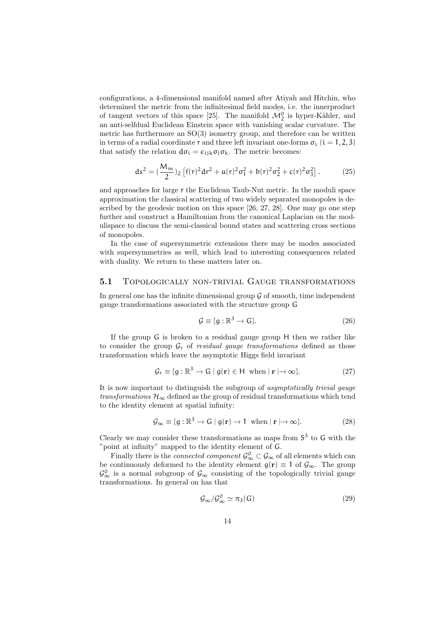configurations, a 4-dimensional manifold named after Atiyah and Hitchin, who determined the metric from the infinitesimal field modes, i.e. the innerproduct of tangent vectors of this space [25]. The manifold  $\mathcal{M}_2^0$  is hyper-Kähler, and an anti-selfdual Euclidean Einstein space with vanishing scalar curvature. The metric has furthermore an SO(3) isometry group, and therefore can be written in terms of a radial coordinate  $r$  and three left invariant one-forms  $\sigma_i$  ( $i = 1, 2, 3$ ) that satisfy the relation  $d\sigma_i = \epsilon_{ijk}\sigma_j\sigma_k$ . The metric becomes:

$$
ds^{2} = \left(\frac{M_{m}}{2}\right)_{2} \left[f(r)^{2} dr^{2} + a(r)^{2} \sigma_{1}^{2} + b(r)^{2} \sigma_{2}^{2} + c(r)^{2} \sigma_{3}^{2}\right].
$$
 (25)

and approaches for large r the Euclidean Taub-Nut metric. In the moduli space approximation the classical scattering of two widely separated monopoles is described by the geodesic motion on this space [26, 27, 28]. One may go one step further and construct a Hamiltonian from the canonical Laplacian on the modulispace to discuss the semi-classical bound states and scattering cross sections of monopoles.

In the case of supersymmetric extensions there may be modes associated with supersymmetries as well, which lead to interesting consequences related with duality. We return to these matters later on.

#### 5.1 TOPOLOGICALLY NON-TRIVIAL GAUGE TRANSFORMATIONS

In general one has the infinite dimensional group  $\mathcal G$  of smooth, time independent gauge transformations associated with the structure group G

$$
\mathcal{G} \equiv \{g : \mathbb{R}^3 \to \mathsf{G}\}. \tag{26}
$$

If the group G is broken to a residual gauge group H then we rather like to consider the group  $G_r$  of residual gauge transformations defined as those transformation which leave the asymptotic Higgs field invariant

$$
\mathcal{G}_{\mathbf{r}} \equiv \{ \mathbf{g} : \mathbb{R}^3 \to \mathsf{G} \mid \mathbf{g}(\mathbf{r}) \in \mathsf{H} \text{ when } |\mathbf{r}| \to \infty \}. \tag{27}
$$

It is now important to distinguish the subgroup of asymptotically trivial gauge transformations  $\mathcal{H}_{\infty}$  defined as the group of residual transformations which tend to the identity element at spatial infinity:

$$
\mathcal{G}_{\infty} \equiv \{ \mathfrak{g} : \mathbb{R}^3 \to \mathsf{G} \mid \mathfrak{g}(\mathbf{r}) \to \mathsf{1} \text{ when } |\mathbf{r}| \to \infty \}. \tag{28}
$$

Clearly we may consider these transformations as maps from  $S<sup>3</sup>$  to G with the "point at infinity" mapped to the identity element of G.

Finally there is the *connected component*  $\mathcal{G}_{\infty}^0 \subset \mathcal{G}_{\infty}$  of all elements which can be continuously deformed to the identity element  $g(r) \equiv 1$  of  $\mathcal{G}_{\infty}$ . The group  $\mathcal{G}_{\infty}^0$  is a normal subgroup of  $\mathcal{G}_{\infty}$  consisting of the topologically trivial gauge transformations. In general on has that

$$
\mathcal{G}_{\infty}/\mathcal{G}_{\infty}^{0} \simeq \pi_{3}(\mathsf{G})\tag{29}
$$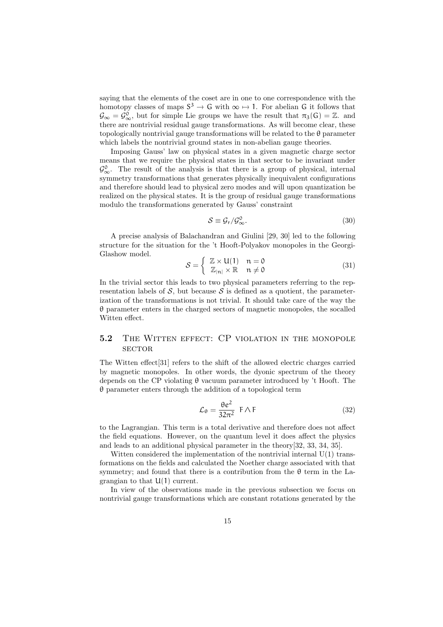saying that the elements of the coset are in one to one correspondence with the homotopy classes of maps  $S^3 \to G$  with  $\infty \mapsto 1$ . For abelian G it follows that  $\mathcal{G}_{\infty} = \mathcal{G}_{\infty}^0$ , but for simple Lie groups we have the result that  $\pi_3(G) = \mathbb{Z}$ . and there are nontrivial residual gauge transformations. As will become clear, these topologically nontrivial gauge transformations will be related to the  $\theta$  parameter which labels the nontrivial ground states in non-abelian gauge theories.

Imposing Gauss' law on physical states in a given magnetic charge sector means that we require the physical states in that sector to be invariant under  $\mathcal{G}_{\infty}^{0}$ . The result of the analysis is that there is a group of physical, internal symmetry transformations that generates physically inequivalent configurations and therefore should lead to physical zero modes and will upon quantization be realized on the physical states. It is the group of residual gauge transformations modulo the transformations generated by Gauss' constraint

$$
S \equiv \mathcal{G}_r / \mathcal{G}_\infty^0. \tag{30}
$$

A precise analysis of Balachandran and Giulini [29, 30] led to the following structure for the situation for the 't Hooft-Polyakov monopoles in the Georgi-Glashow model.  $\overline{a}$ 

$$
S = \begin{cases} \mathbb{Z} \times \mathsf{U}(1) & \mathsf{n} = \mathsf{0} \\ \mathbb{Z}_{|\mathsf{n}|} \times \mathbb{R} & \mathsf{n} \neq \mathsf{0} \end{cases} \tag{31}
$$

In the trivial sector this leads to two physical parameters referring to the representation labels of  $S$ , but because  $S$  is defined as a quotient, the parameterization of the transformations is not trivial. It should take care of the way the θ parameter enters in the charged sectors of magnetic monopoles, the socalled Witten effect.

## 5.2 THE WITTEN EFFECT: CP VIOLATION IN THE MONOPOLE **SECTOR**

The Witten effect[31] refers to the shift of the allowed electric charges carried by magnetic monopoles. In other words, the dyonic spectrum of the theory depends on the CP violating  $\theta$  vacuum parameter introduced by 't Hooft. The θ parameter enters through the addition of a topological term

$$
\mathcal{L}_{\theta} = \frac{\theta e^2}{32\pi^2} \ \mathsf{F} \wedge \mathsf{F} \tag{32}
$$

to the Lagrangian. This term is a total derivative and therefore does not affect the field equations. However, on the quantum level it does affect the physics and leads to an additional physical parameter in the theory[32, 33, 34, 35].

Witten considered the implementation of the nontrivial internal  $U(1)$  transformations on the fields and calculated the Noether charge associated with that symmetry; and found that there is a contribution from the  $\theta$  term in the Lagrangian to that  $U(1)$  current.

In view of the observations made in the previous subsection we focus on nontrivial gauge transformations which are constant rotations generated by the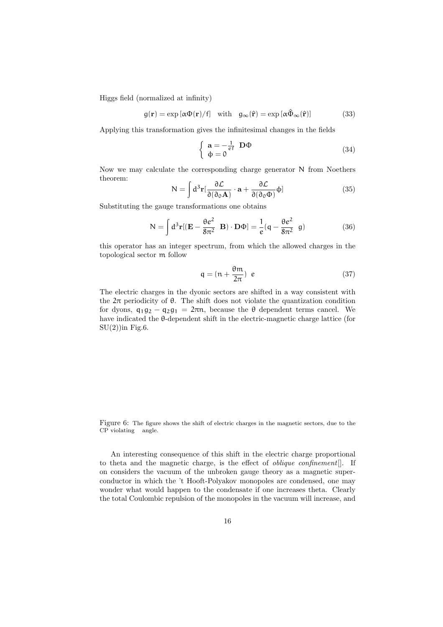Higgs field (normalized at infinity)

$$
g(\mathbf{r}) = \exp\left[\alpha \Phi(\mathbf{r})/f\right] \quad \text{with} \quad g_{\infty}(\hat{\mathbf{r}}) = \exp\left[\alpha \hat{\Phi}_{\infty}(\hat{\mathbf{r}})\right] \tag{33}
$$

Applying this transformation gives the infinitesimal changes in the fields

$$
\begin{cases}\n\mathbf{a} = -\frac{1}{e^f} \mathbf{D} \Phi \\
\Phi = 0\n\end{cases}
$$
\n(34)

Now we may calculate the corresponding charge generator N from Noethers theorem: Z

$$
N = \int d^3r \left[\frac{\partial \mathcal{L}}{\partial(\partial_0 A)} \cdot a + \frac{\partial \mathcal{L}}{\partial(\partial_0 \Phi)} \phi\right]
$$
(35)

Substituting the gauge transformations one obtains

$$
N = \int d^3 \mathbf{r} [(\mathbf{E} - \frac{\theta e^2}{8\pi^2} \mathbf{B}) \cdot \mathbf{D} \Phi] = \frac{1}{e} (\mathbf{q} - \frac{\theta e^2}{8\pi^2} \mathbf{g})
$$
(36)

this operator has an integer spectrum, from which the allowed charges in the topological sector m follow

$$
q = (n + \frac{\theta m}{2\pi}) e \tag{37}
$$

The electric charges in the dyonic sectors are shifted in a way consistent with the  $2\pi$  periodicity of  $\theta$ . The shift does not violate the quantization condition for dyons,  $q_1q_2 - q_2q_1 = 2\pi n$ , because the  $\theta$  dependent terms cancel. We have indicated the θ-dependent shift in the electric-magnetic charge lattice (for  $SU(2)$ ) in Fig. 6.

Figure 6: The figure shows the shift of electric charges in the magnetic sectors, due to the CP violating angle.

An interesting consequence of this shift in the electric charge proportional to theta and the magnetic charge, is the effect of oblique confinement[]. If on considers the vacuum of the unbroken gauge theory as a magnetic superconductor in which the 't Hooft-Polyakov monopoles are condensed, one may wonder what would happen to the condensate if one increases theta. Clearly the total Coulombic repulsion of the monopoles in the vacuum will increase, and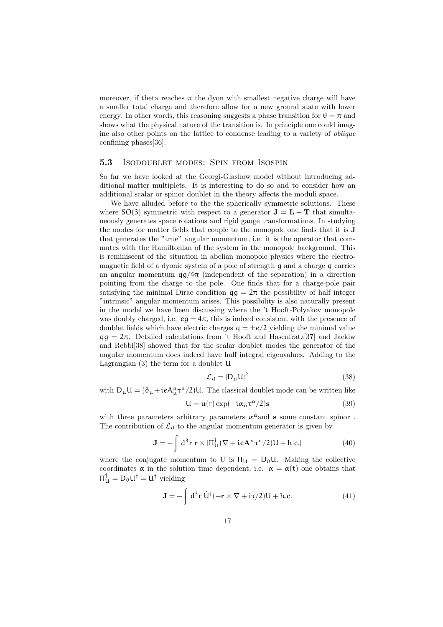moreover, if theta reaches  $\pi$  the dyon with smallest negative charge will have a smaller total charge and therefore allow for a new ground state with lower energy. In other words, this reasoning suggests a phase transition for  $\theta = \pi$  and shows what the physical nature of the transition is. In principle one could imagine also other points on the lattice to condense leading to a variety of oblique confining phases[36].

#### 5.3 Isodoublet modes: Spin from Isospin

So far we have looked at the Georgi-Glashow model without introducing additional matter multiplets. It is interesting to do so and to consider how an additional scalar or spinor doublet in the theory affects the moduli space.

We have alluded before to the the spherically symmetric solutions. These where  $SO(3)$  symmetric with respect to a generator  $J = L + T$  that simultaneously generates space rotations and rigid gauge transformations. In studying the modes for matter fields that couple to the monopole one finds that it is J that generates the "true" angular momentum, i.e. it is the operator that commutes with the Hamiltonian of the system in the monopole background. This is reminiscent of the situation in abelian monopole physics where the electromagnetic field of a dyonic system of a pole of strength g and a charge q carries an angular momentum  $qg/4\pi$  (independent of the separation) in a direction pointing from the charge to the pole. One finds that for a charge-pole pair satisfying the minimal Dirac condition  $qq = 2\pi$  the possibility of half integer "intrinsic" angular momentum arises. This possibility is also naturally present in the model we have been discussing where the 't Hooft-Polyakov monopole was doubly charged, i.e.  $eg = 4\pi$ , this is indeed consistent with the presence of doublet fields which have electric charges  $q = \pm e/2$  yielding the minimal value  $qq = 2\pi$ . Detailed calculations from 't Hooft and Hasenfratz[37] and Jackiw and Rebbi[38] showed that for the scalar doublet modes the generator of the angular momentum does indeed have half integral eigenvalues. Adding to the Lagrangian (3) the term for a doublet U

$$
\mathcal{L}_{\mathbf{d}} = |\mathbf{D}_{\mu}\mathbf{U}|^2 \tag{38}
$$

with  $D_{\mu}U = (\partial_{\mu} + ieA_{\mu}^{\alpha} \tau^{\alpha}/2)U$ . The classical doublet mode can be written like

$$
U = u(r) \exp(-i\alpha_a \tau^a / 2)s \tag{39}
$$

with three parameters arbitrary parameters  $\alpha^a$  and s some constant spinor. The contribution of  $\mathcal{L}_{d}$  to the angular momentum generator is given by

$$
\mathbf{J} = -\int d^3 \mathbf{r} \,\mathbf{r} \times \left[\Pi_{\mathbf{U}}^{\dagger} (\nabla + i e \mathbf{A}^a \tau^a / 2) \mathbf{U} + \text{h.c.}\right]
$$
(40)

where the conjugate momentum to U is  $\Pi_{\mathfrak{U}} = D_0 \mathfrak{U}$ . Making the collective coordinates  $\alpha$  in the solution time dependent, i.e.  $\alpha = \alpha(t)$  one obtains that  $\Pi_{\mathsf{U}}^{\dagger} = \mathsf{D}_{\mathsf{0}} \mathsf{U}^{\dagger} = \dot{\mathsf{U}}^{\dagger}$  yielding

$$
\mathbf{J} = -\int d^3 \mathbf{r} \, \dot{\mathbf{U}}^{\dagger} (-\mathbf{r} \times \nabla + i\tau/2) \mathbf{U} + \text{h.c.}
$$
 (41)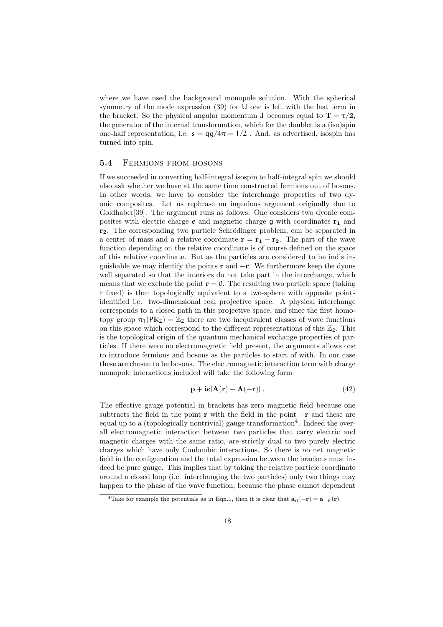where we have used the background monopole solution. With the spherical symmetry of the mode expression (39) for U one is left with the last term in the bracket. So the physical angular momentum **J** becomes equal to  $T = \tau/2$ , the generator of the internal transformation, which for the doublet is a (iso)spin one-half representation, i.e.  $s = \frac{qq}{4\pi} = \frac{1}{2}$ . And, as advertised, isospin has turned into spin.

#### 5.4 FERMIONS FROM BOSONS

If we succeeded in converting half-integral isospin to half-integral spin we should also ask whether we have at the same time constructed fermions out of bosons. In other words, we have to consider the interchange properties of two dyonic composites. Let us rephrase an ingenious argument originally due to Goldhaber[39]. The argument runs as follows. One considers two dyonic composites with electric charge  $e$  and magnetic charge  $q$  with coordinates  $r_1$  and r<sub>2</sub>. The corresponding two particle Schrödinger problem, can be separated in a center of mass and a relative coordinate  $\mathbf{r} = \mathbf{r_1} - \mathbf{r_2}$ . The part of the wave function depending on the relative coordinate is of course defined on the space of this relative coordinate. But as the particles are considered to be indistinguishable we may identify the points  $\mathbf r$  and  $-\mathbf r$ . We furthermore keep the dyons well separated so that the interiors do not take part in the interchange, which means that we exclude the point  $r = 0$ . The resulting two particle space (taking r fixed) is then topologically equivalent to a two-sphere with opposite points identified i.e. two-dimensional real projective space. A physical interchange corresponds to a closed path in this projective space, and since the first homotopy group  $\pi_1(\mathbb{PR}_2) = \mathbb{Z}_2$  there are two inequivalent classes of wave functions on this space which correspond to the different representations of this  $\mathbb{Z}_2$ . This is the topological origin of the quantum mechanical exchange properties of particles. If there were no electromagnetic field present, the arguments allows one to introduce fermions and bosons as the particles to start of with. In our case these are chosen to be bosons. The electromagnetic interaction term with charge monopole interactions included will take the following form

$$
\mathbf{p} + i\mathbf{e}[\mathbf{A}(\mathbf{r}) - \mathbf{A}(-\mathbf{r})]. \tag{42}
$$

The effective gauge potential in brackets has zero magnetic field because one subtracts the field in the point r with the field in the point  $-\mathbf{r}$  and these are equal up to a (topologically nontrivial) gauge transformation<sup>4</sup>. Indeed the overall electromagnetic interaction between two particles that carry electric and magnetic charges with the same ratio, are strictly dual to two purely electric charges which have only Coulombic interactions. So there is no net magnetic field in the configuration and the total expression between the brackets must indeed be pure gauge. This implies that by taking the relative particle coordinate around a closed loop (i.e. interchanging the two particles) only two things may happen to the phase of the wave function; because the phase cannot dependent

<sup>&</sup>lt;sup>4</sup>Take for example the potentials as in Eqn.1, then it is clear that  $\mathbf{a}_{\hat{\mathsf{n}}}(-\mathbf{r}) = \mathbf{a}_{-\hat{\mathsf{n}}}(\mathbf{r})$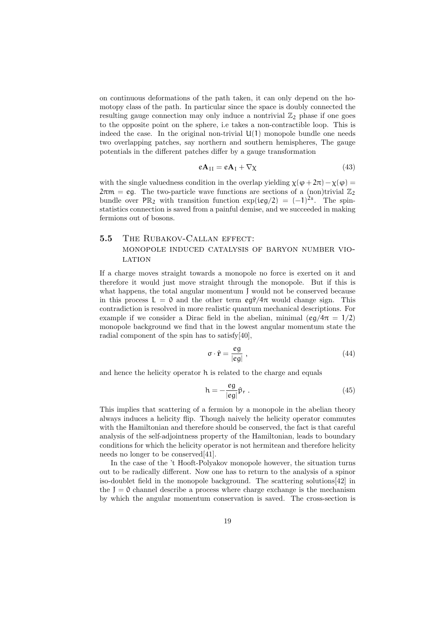on continuous deformations of the path taken, it can only depend on the homotopy class of the path. In particular since the space is doubly connected the resulting gauge connection may only induce a nontrivial  $\mathbb{Z}_2$  phase if one goes to the opposite point on the sphere, i.e takes a non-contractible loop. This is indeed the case. In the original non-trivial  $U(1)$  monopole bundle one needs two overlapping patches, say northern and southern hemispheres, The gauge potentials in the different patches differ by a gauge transformation

$$
e\mathbf{A}_{\text{II}} = e\mathbf{A}_{\text{I}} + \nabla \chi \tag{43}
$$

with the single valuedness condition in the overlap yielding  $\chi(\varphi + 2\pi) - \chi(\varphi) =$  $2\pi m = \epsilon q$ . The two-particle wave functions are sections of a (non)trivial  $\mathbb{Z}_2$ bundle over  $PR_2$  with transition function  $exp(ieg/2) = (-1)^{2s}$ . The spinstatistics connection is saved from a painful demise, and we succeeded in making fermions out of bosons.

## 5.5 THE RUBAKOV-CALLAN EFFECT: monopole induced catalysis of baryon number vio-**LATION**

If a charge moves straight towards a monopole no force is exerted on it and therefore it would just move straight through the monopole. But if this is what happens, the total angular momentum J would not be conserved because in this process  $L = 0$  and the other term  $\epsilon \hat{\sigma}/4\pi$  would change sign. This contradiction is resolved in more realistic quantum mechanical descriptions. For example if we consider a Dirac field in the abelian, minimal (eg/ $4\pi = 1/2$ ) monopole background we find that in the lowest angular momentum state the radial component of the spin has to satisfy[40],

$$
\sigma \cdot \hat{\mathbf{r}} = \frac{eg}{|eg|} \,,\tag{44}
$$

and hence the helicity operator h is related to the charge and equals

$$
h = -\frac{eg}{|eg|}\hat{p}_r . \tag{45}
$$

This implies that scattering of a fermion by a monopole in the abelian theory always induces a helicity flip. Though naively the helicity operator commutes with the Hamiltonian and therefore should be conserved, the fact is that careful analysis of the self-adjointness property of the Hamiltonian, leads to boundary conditions for which the helicity operator is not hermitean and therefore helicity needs no longer to be conserved[41].

In the case of the 't Hooft-Polyakov monopole however, the situation turns out to be radically different. Now one has to return to the analysis of a spinor iso-doublet field in the monopole background. The scattering solutions[42] in the  $J = 0$  channel describe a process where charge exchange is the mechanism by which the angular momentum conservation is saved. The cross-section is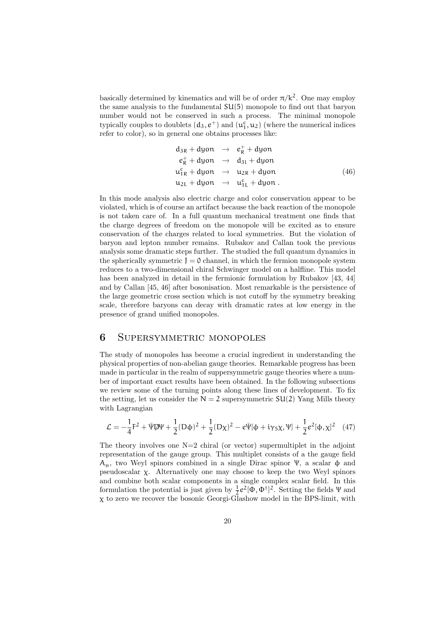basically determined by kinematics and will be of order  $\pi/k^2$ . One may employ the same analysis to the fundamental SU(5) monopole to find out that baryon number would not be conserved in such a process. The minimal monopole typically couples to doublets  $(d_3, e^+)$  and  $(u_1^c, u_2)$  (where the numerical indices refer to color), so in general one obtains processes like:

$$
d_{3R} + d{y}on \rightarrow e_R^+ + d{y}on
$$
  
\n
$$
e_R^+ + d{y}on \rightarrow d_{31} + d{y}on
$$
  
\n
$$
u_{1R}^c + d{y}on \rightarrow u_{2R} + d{y}on
$$
  
\n
$$
u_{2L} + d{y}on \rightarrow u_{1L}^c + d{y}on.
$$
\n(46)

In this mode analysis also electric charge and color conservation appear to be violated, which is of course an artifact because the back reaction of the monopole is not taken care of. In a full quantum mechanical treatment one finds that the charge degrees of freedom on the monopole will be excited as to ensure conservation of the charges related to local symmetries. But the violation of baryon and lepton number remains. Rubakov and Callan took the previous analysis some dramatic steps further. The studied the full quantum dynamics in the spherically symmetric  $J = 0$  channel, in which the fermion monopole system reduces to a two-dimensional chiral Schwinger model on a halfline. This model has been analyzed in detail in the fermionic formulation by Rubakov [43, 44] and by Callan [45, 46] after bosonisation. Most remarkable is the persistence of the large geometric cross section which is not cutoff by the symmetry breaking scale, therefore baryons can decay with dramatic rates at low energy in the presence of grand unified monopoles.

## 6 Supersymmetric monopoles

The study of monopoles has become a crucial ingredient in understanding the physical properties of non-abelian gauge theories. Remarkable progress has been made in particular in the realm of suppersymmetric gauge theories where a number of important exact results have been obtained. In the following subsections we review some of the turning points along these lines of development. To fix the setting, let us consider the  $N = 2$  supersymmetric  $SU(2)$  Yang Mills theory with Lagrangian

$$
\mathcal{L} = -\frac{1}{4}F^2 + \bar{\Psi}\bar{\Psi}\Psi + \frac{1}{2}(D\phi)^2 + \frac{1}{2}(D\chi)^2 - e\bar{\Psi}[\phi + i\gamma_5\chi, \Psi] + \frac{1}{2}e^2[\phi, \chi]^2 \quad (47)
$$

The theory involves one  $N=2$  chiral (or vector) supermultiplet in the adjoint representation of the gauge group. This multiplet consists of a the gauge field Aµ, two Weyl spinors combined in a single Dirac spinor Ψ, a scalar φ and pseudoscalar χ. Alternatively one may choose to keep the two Weyl spinors and combine both scalar components in a single complex scalar field. In this formulation the potential is just given by  $\frac{1}{2}e^2[\Phi, \Phi^{\dagger}]^2$ . Setting the fields  $\Psi$  and χ to zero we recover the bosonic Georgi-Glashow model in the BPS-limit, with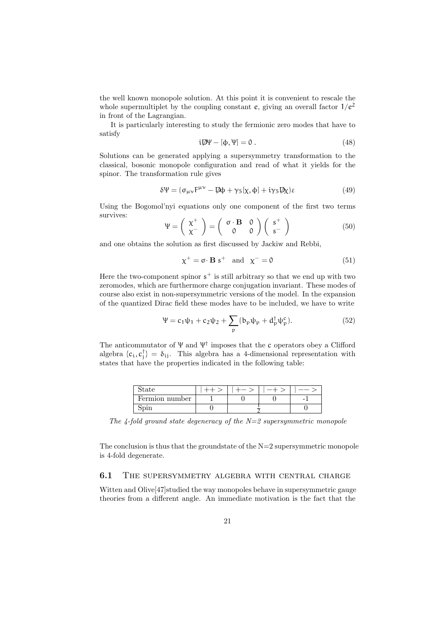the well known monopole solution. At this point it is convenient to rescale the whole supermultiplet by the coupling constant e, giving an overall factor  $1/e^2$ in front of the Lagrangian.

It is particularly interesting to study the fermionic zero modes that have to satisfy

$$
i\mathcal{D}\Psi - [\Phi, \Psi] = 0. \tag{48}
$$

Solutions can be generated applying a supersymmetry transformation to the classical, bosonic monopole configuration and read of what it yields for the spinor. The transformation rule gives

$$
\delta\Psi = (\sigma_{\mu\nu}\mathbf{F}^{\mu\nu} - \mathbf{D}\mathbf{\phi} + \gamma_5[\chi, \phi] + i\gamma_5 \mathbf{D}\chi)\varepsilon \tag{49}
$$

Using the Bogomol'nyi equations only one component of the first two terms survives:  $\overline{a}$  $\mathbf{r}$  $\overline{a}$  $\mathbf{r}$ 

$$
\Psi = \left(\begin{array}{c} \chi^+ \\ \chi^- \end{array}\right) = \left(\begin{array}{cc} \sigma \cdot \mathbf{B} & 0 \\ 0 & 0 \end{array}\right) \left(\begin{array}{c} s^+ \\ s^- \end{array}\right) \tag{50}
$$

and one obtains the solution as first discussed by Jackiw and Rebbi,

$$
\chi^{+} = \sigma \cdot \mathbf{B} \, \mathbf{s}^{+} \quad \text{and} \quad \chi^{-} = 0 \tag{51}
$$

Here the two-component spinor  $s^+$  is still arbitrary so that we end up with two zeromodes, which are furthermore charge conjugation invariant. These modes of course also exist in non-supersymmetric versions of the model. In the expansion of the quantized Dirac field these modes have to be included, we have to write

$$
\Psi = c_1 \psi_1 + c_2 \psi_2 + \sum_{p} (b_p \psi_p + d_p^{\dagger} \psi_p^c).
$$
 (52)

The anticommutator of  $\Psi$  and  $\Psi^{\dagger}$  imposes that the c operators obey a Clifford algebra  $\{c_i, c_j^{\dagger}\} = \delta_{ij}$ . This algebra has a 4-dimensional representation with states that have the properties indicated in the following table:

| state          |  |  |   |
|----------------|--|--|---|
| Fermion number |  |  | - |
|                |  |  |   |

The 4-fold ground state degeneracy of the  $N=2$  supersymmetric monopole

The conclusion is thus that the groundstate of the  $N=2$  supersymmetric monopole is 4-fold degenerate.

### 6.1 THE SUPERSYMMETRY ALGEBRA WITH CENTRAL CHARGE

Witten and Olive[47]studied the way monopoles behave in supersymmetric gauge theories from a different angle. An immediate motivation is the fact that the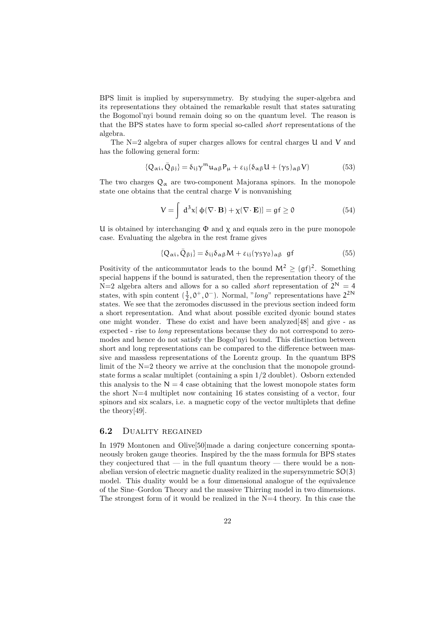BPS limit is implied by supersymmetry. By studying the super-algebra and its representations they obtained the remarkable result that states saturating the Bogomol'nyi bound remain doing so on the quantum level. The reason is that the BPS states have to form special so-called short representations of the algebra.

The N=2 algebra of super charges allows for central charges U and V and has the following general form:

$$
\{Q_{\alpha i}, \bar{Q}_{\beta j}\} = \delta_{ij} \gamma^m u_{\alpha \beta} P_{\mu} + \varepsilon_{ij} (\delta_{\alpha \beta} U + (\gamma_5)_{\alpha \beta} V) \tag{53}
$$

The two charges  $Q_{\alpha}$  are two-component Majorana spinors. In the monopole state one obtains that the central charge  $V$  is nonvanishing

$$
V = \int d^{3}x [\phi(\nabla \cdot \mathbf{B}) + \chi(\nabla \cdot \mathbf{E})] = gf \ge 0
$$
 (54)

U is obtained by interchanging  $\Phi$  and  $\chi$  and equals zero in the pure monopole case. Evaluating the algebra in the rest frame gives

$$
\{Q_{\alpha i}, \bar{Q}_{\beta j}\} = \delta_{ij}\delta_{\alpha\beta}M + \varepsilon_{ij}(\gamma_5\gamma_0)_{\alpha\beta} \text{ gf}
$$
 (55)

Positivity of the anticommutator leads to the bound  $M^2 \geq (gf)^2$ . Something special happens if the bound is saturated, then the representation theory of the  $N=2$  algebra alters and allows for a so called *short* representation of  $2^N = 4$ states, with spin content  $(\frac{1}{2}, 0^+, 0^-)$ . Normal, "long" representations have  $2^{2N}$ states. We see that the zeromodes discussed in the previous section indeed form a short representation. And what about possible excited dyonic bound states one might wonder. These do exist and have been analyzed[48] and give - as expected - rise to long representations because they do not correspond to zeromodes and hence do not satisfy the Bogol'nyi bound. This distinction between short and long representations can be compared to the difference between massive and massless representations of the Lorentz group. In the quantum BPS limit of the N=2 theory we arrive at the conclusion that the monopole groundstate forms a scalar multiplet (containing a spin 1/2 doublet). Osborn extended this analysis to the  $N = 4$  case obtaining that the lowest monopole states form the short N=4 multiplet now containing 16 states consisting of a vector, four spinors and six scalars, i.e. a magnetic copy of the vector multiplets that define the theory[49].

#### 6.2 Duality regained

In 1979 Montonen and Olive[50]made a daring conjecture concerning spontaneously broken gauge theories. Inspired by the the mass formula for BPS states they conjectured that — in the full quantum theory — there would be a nonabelian version of electric magnetic duality realized in the supersymmetric SO(3) model. This duality would be a four dimensional analogue of the equivalence of the Sine–Gordon Theory and the massive Thirring model in two dimensions. The strongest form of it would be realized in the N=4 theory. In this case the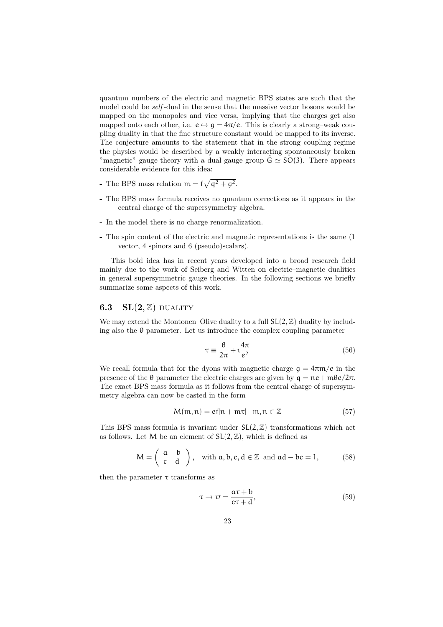quantum numbers of the electric and magnetic BPS states are such that the model could be self -dual in the sense that the massive vector bosons would be mapped on the monopoles and vice versa, implying that the charges get also mapped onto each other, i.e.  $e \leftrightarrow g = 4\pi/e$ . This is clearly a strong-weak coupling duality in that the fine structure constant would be mapped to its inverse. The conjecture amounts to the statement that in the strong coupling regime the physics would be described by a weakly interacting spontaneously broken "magnetic" gauge theory with a dual gauge group  $G \simeq SO(3)$ . There appears considerable evidence for this idea:

- The BPS mass relation  $m = f$ p  $q^2 + g^2$ .
- The BPS mass formula receives no quantum corrections as it appears in the central charge of the supersymmetry algebra.
- In the model there is no charge renormalization.
- The spin content of the electric and magnetic representations is the same (1 vector, 4 spinors and 6 (pseudo)scalars).

This bold idea has in recent years developed into a broad research field mainly due to the work of Seiberg and Witten on electric–magnetic dualities in general supersymmetric gauge theories. In the following sections we briefly summarize some aspects of this work.

### 6.3  $SL(2, \mathbb{Z})$  DUALITY

We may extend the Montonen–Olive duality to a full  $SL(2, \mathbb{Z})$  duality by including also the  $\theta$  parameter. Let us introduce the complex coupling parameter

$$
\tau \equiv \frac{\theta}{2\pi} + i \frac{4\pi}{e^2} \tag{56}
$$

We recall formula that for the dyons with magnetic charge  $g = 4\pi m/e$  in the presence of the θ parameter the electric charges are given by  $q = n e + mθe/2π$ . The exact BPS mass formula as it follows from the central charge of supersymmetry algebra can now be casted in the form

$$
M(m, n) = ef|n + m\tau| \quad m, n \in \mathbb{Z}
$$
\n<sup>(57)</sup>

This BPS mass formula is invariant under  $SL(2, \mathbb{Z})$  transformations which act as follows. Let M be an element of  $SL(2, \mathbb{Z})$ , which is defined as

$$
M = \begin{pmatrix} a & b \\ c & d \end{pmatrix}, \text{ with } a, b, c, d \in \mathbb{Z} \text{ and } ad - bc = 1,
$$
 (58)

then the parameter  $\tau$  transforms as

$$
\tau \to \tau \prime = \frac{a\tau + b}{c\tau + d},\tag{59}
$$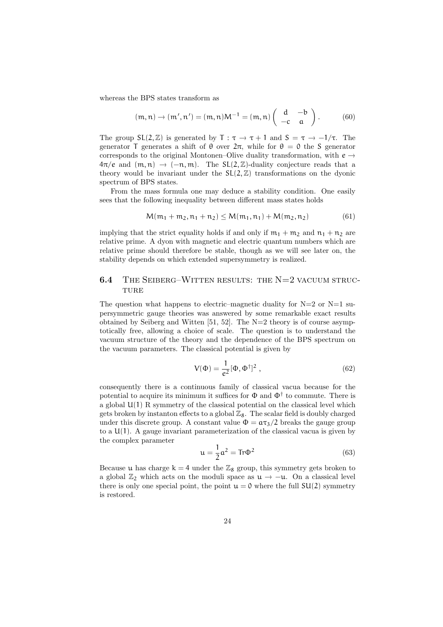whereas the BPS states transform as

$$
(\mathfrak{m},\mathfrak{n})\rightarrow(\mathfrak{m}',\mathfrak{n}')=(\mathfrak{m},\mathfrak{n})M^{-1}=(\mathfrak{m},\mathfrak{n})\left(\begin{array}{cc}d&-b\\-c&a\end{array}\right).
$$
 (60)

The group  $SL(2, \mathbb{Z})$  is generated by  $T : \tau \to \tau + 1$  and  $S = \tau \to -1/\tau$ . The generator T generates a shift of  $\theta$  over  $2\pi$ , while for  $\theta = 0$  the S generator corresponds to the original Montonen–Olive duality transformation, with  $e \rightarrow$  $4\pi/e$  and  $(m, n) \rightarrow (-n, m)$ . The SL(2, Z)-duality conjecture reads that a theory would be invariant under the  $SL(2, \mathbb{Z})$  transformations on the dyonic spectrum of BPS states.

From the mass formula one may deduce a stability condition. One easily sees that the following inequality between different mass states holds

$$
M(m_1 + m_2, n_1 + n_2) \le M(m_1, n_1) + M(m_2, n_2)
$$
 (61)

implying that the strict equality holds if and only if  $m_1 + m_2$  and  $n_1 + n_2$  are relative prime. A dyon with magnetic and electric quantum numbers which are relative prime should therefore be stable, though as we will see later on, the stability depends on which extended supersymmetry is realized.

## 6.4 The Seiberg–Witten results: the N=2 vacuum struc-**TURE**

The question what happens to electric–magnetic duality for  $N=2$  or  $N=1$  supersymmetric gauge theories was answered by some remarkable exact results obtained by Seiberg and Witten [51, 52]. The N=2 theory is of course asymptotically free, allowing a choice of scale. The question is to understand the vacuum structure of the theory and the dependence of the BPS spectrum on the vacuum parameters. The classical potential is given by

$$
V(\Phi) = \frac{1}{e^2} [\Phi, \Phi^{\dagger}]^2 , \qquad (62)
$$

consequently there is a continuous family of classical vacua because for the potential to acquire its minimum it suffices for  $\Phi$  and  $\Phi^{\dagger}$  to commute. There is a global U(1) R symmetry of the classical potential on the classical level which gets broken by instanton effects to a global  $\mathbb{Z}_8$ . The scalar field is doubly charged under this discrete group. A constant value  $\Phi = \frac{\alpha \tau_3}{2}$  breaks the gauge group to a  $U(1)$ . A gauge invariant parameterization of the classical vacua is given by the complex parameter

$$
\mathfrak{u} = \frac{1}{2}\mathfrak{a}^2 = \text{Tr}\Phi^2 \tag{63}
$$

Because u has charge  $k = 4$  under the  $\mathbb{Z}_8$  group, this symmetry gets broken to a global  $\mathbb{Z}_2$  which acts on the moduli space as  $\mathfrak{u} \to -\mathfrak{u}$ . On a classical level there is only one special point, the point  $u = 0$  where the full  $SU(2)$  symmetry is restored.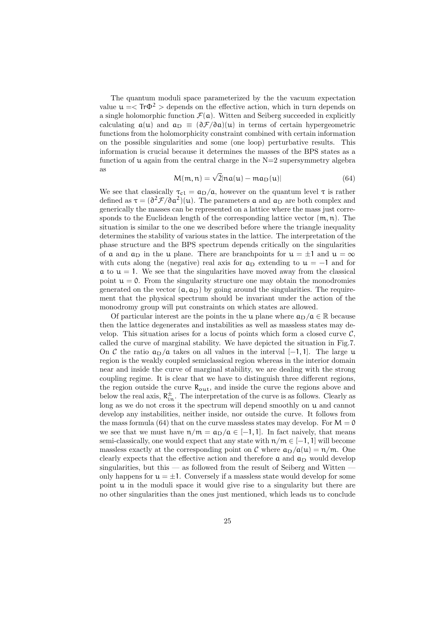The quantum moduli space parameterized by the the vacuum expectation value  $\mu = \langle Tr \Phi^2 \rangle$  depends on the effective action, which in turn depends on a single holomorphic function  $\mathcal{F}(\mathfrak{a})$ . Witten and Seiberg succeeded in explicitly calculating  $a(u)$  and  $a_D \equiv (\partial \mathcal{F}/\partial a)(u)$  in terms of certain hypergeometric functions from the holomorphicity constraint combined with certain information on the possible singularities and some (one loop) perturbative results. This information is crucial because it determines the masses of the BPS states as a function of  $\mu$  again from the central charge in the N=2 supersymmetry algebra as

$$
M(m, n) = \sqrt{2}|na(u) - ma_D(u)|
$$
\n(64)

We see that classically  $\tau_{c1} = a_D/a$ , however on the quantum level  $\tau$  is rather defined as  $\tau = (\partial^2 \mathcal{F}/\partial \mathfrak{a}^2)(u)$ . The parameters **a** and **a**<sub>D</sub> are both complex and generically the masses can be represented on a lattice where the mass just corresponds to the Euclidean length of the corresponding lattice vector  $(m, n)$ . The situation is similar to the one we described before where the triangle inequality determines the stability of various states in the lattice. The interpretation of the phase structure and the BPS spectrum depends critically on the singularities of a and  $a_D$  in the u plane. There are branchpoints for  $u = \pm 1$  and  $u = \infty$ with cuts along the (negative) real axis for  $a_D$  extending to  $u = -1$  and for  $\alpha$  to  $\mu = 1$ . We see that the singularities have moved away from the classical point  $u = 0$ . From the singularity structure one may obtain the monodromies generated on the vector  $(a, a_D)$  by going around the singularities. The requirement that the physical spectrum should be invariant under the action of the monodromy group will put constraints on which states are allowed.

Of particular interest are the points in the u plane where  $a_D/a \in \mathbb{R}$  because then the lattice degenerates and instabilities as well as massless states may develop. This situation arises for a locus of points which form a closed curve  $\mathcal{C}$ . called the curve of marginal stability. We have depicted the situation in Fig.7. On C the ratio  $a_D/a$  takes on all values in the interval [−1, 1]. The large u region is the weakly coupled semiclassical region whereas in the interior domain near and inside the curve of marginal stability, we are dealing with the strong coupling regime. It is clear that we have to distinguish three different regions, the region outside the curve  $R_{\text{out}}$ , and inside the curve the regions above and below the real axis,  $R_{in}^{\pm}$ . The interpretation of the curve is as follows. Clearly as long as we do not cross it the spectrum will depend smoothly on  $u$  and cannot develop any instabilities, neither inside, nor outside the curve. It follows from the mass formula (64) that on the curve massless states may develop. For  $M = 0$ we see that we must have  $n/m = a_D/a \in [-1, 1]$ . In fact naively, that means semi-classically, one would expect that any state with  $n/m \in [-1, 1]$  will become massless exactly at the corresponding point on C where  $a_D/a(u) = n/m$ . One clearly expects that the effective action and therefore  $a$  and  $a_D$  would develop singularities, but this  $-$  as followed from the result of Seiberg and Witten  $$ only happens for  $u = \pm 1$ . Conversely if a massless state would develop for some point  $\mu$  in the moduli space it would give rise to a singularity but there are no other singularities than the ones just mentioned, which leads us to conclude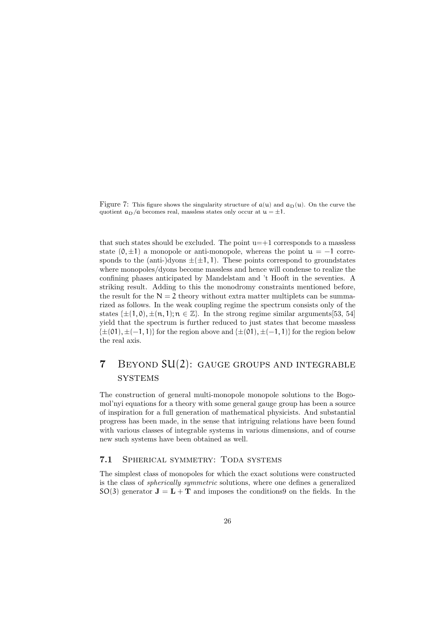Figure 7: This figure shows the singularity structure of  $a(u)$  and  $a_D(u)$ . On the curve the quotient  $a_D/a$  becomes real, massless states only occur at  $u = \pm 1$ .

that such states should be excluded. The point  $u=+1$  corresponds to a massless state  $(0, \pm 1)$  a monopole or anti-monopole, whereas the point  $u = -1$  corresponds to the (anti-)dyons  $\pm(\pm 1, 1)$ . These points correspond to groundstates where monopoles/dyons become massless and hence will condense to realize the confining phases anticipated by Mandelstam and 't Hooft in the seventies. A striking result. Adding to this the monodromy constraints mentioned before, the result for the  $N = 2$  theory without extra matter multiplets can be summarized as follows. In the weak coupling regime the spectrum consists only of the states  $\{\pm (1, 0), \pm (n, 1), n \in \mathbb{Z}\}\$ . In the strong regime similar arguments [53, 54] yield that the spectrum is further reduced to just states that become massless  $\{\pm(01), \pm(-1, 1)\}\$ for the region above and  $\{\pm(01), \pm(-1, 1)\}\$ for the region below the real axis.

# 7 Beyond SU(2): gauge groups and integrable **SYSTEMS**

The construction of general multi-monopole monopole solutions to the Bogomol'nyi equations for a theory with some general gauge group has been a source of inspiration for a full generation of mathematical physicists. And substantial progress has been made, in the sense that intriguing relations have been found with various classes of integrable systems in various dimensions, and of course new such systems have been obtained as well.

### 7.1 Spherical symmetry: Toda systems

The simplest class of monopoles for which the exact solutions were constructed is the class of spherically symmetric solutions, where one defines a generalized  $SO(3)$  generator  $J = L + T$  and imposes the conditions on the fields. In the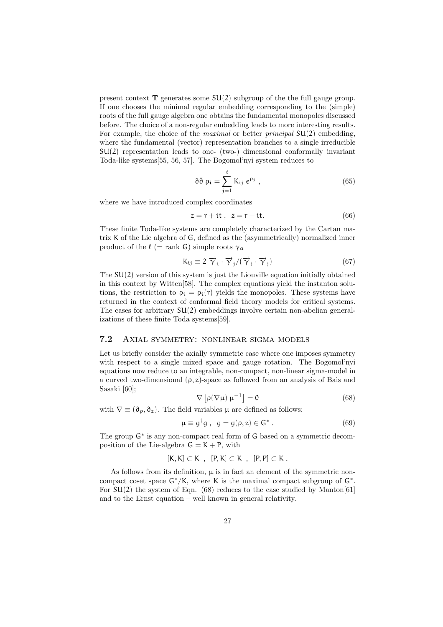present context  $\bf{T}$  generates some  $SU(2)$  subgroup of the the full gauge group. If one chooses the minimal regular embedding corresponding to the (simple) roots of the full gauge algebra one obtains the fundamental monopoles discussed before. The choice of a non-regular embedding leads to more interesting results. For example, the choice of the *maximal* or better *principal*  $SU(2)$  embedding, where the fundamental (vector) representation branches to a single irreducible SU(2) representation leads to one- (two-) dimensional conformally invariant Toda-like systems[55, 56, 57]. The Bogomol'nyi system reduces to

$$
\partial \bar{\partial} \rho_i = \sum_{j=1}^{\ell} K_{ij} e^{\rho_j} , \qquad (65)
$$

where we have introduced complex coordinates

$$
z = r + it, \quad \bar{z} = r - it. \tag{66}
$$

These finite Toda-like systems are completely characterized by the Cartan matrix K of the Lie algebra of G, defined as the (asymmetrically) normalized inner product of the  $\ell$  (= rank G) simple roots  $\gamma_a$ 

$$
K_{ij} \equiv 2 \overrightarrow{\gamma}_i \cdot \overrightarrow{\gamma}_j / (\overrightarrow{\gamma}_j \cdot \overrightarrow{\gamma}_j)
$$
 (67)

The  $SU(2)$  version of this system is just the Liouville equation initially obtained in this context by Witten[58]. The complex equations yield the instanton solutions, the restriction to  $\rho_i = \rho_i(r)$  yields the monopoles. These systems have returned in the context of conformal field theory models for critical systems. The cases for arbitrary  $SU(2)$  embeddings involve certain non-abelian generalizations of these finite Toda systems[59].

### 7.2 Axial symmetry: nonlinear sigma models

Let us briefly consider the axially symmetric case where one imposes symmetry with respect to a single mixed space and gauge rotation. The Bogomol'nyi equations now reduce to an integrable, non-compact, non-linear sigma-model in a curved two-dimensional  $(\rho, z)$ -space as followed from an analysis of Bais and Sasaki [60]; £ l<br>E

$$
\nabla \left[ \rho (\nabla \mu) \ \mu^{-1} \right] = 0 \tag{68}
$$

with  $\nabla \equiv (\partial_{\rho}, \partial_{z})$ . The field variables  $\mu$  are defined as follows:

$$
\mu \equiv g^{\dagger} g \ , \ \ g = g(\rho, z) \in G^* \ . \tag{69}
$$

The group  $G^*$  is any non-compact real form of G based on a symmetric decomposition of the Lie-algebra  $G = K + P$ , with

$$
[K,K]\subset K\ ,\ [P,K]\subset K\ ,\ [P,P]\subset K\ .
$$

As follows from its definition,  $\mu$  is in fact an element of the symmetric noncompact coset space  $G^*/K$ , where K is the maximal compact subgroup of  $G^*$ . For  $SU(2)$  the system of Eqn. (68) reduces to the case studied by Manton[61] and to the Ernst equation – well known in general relativity.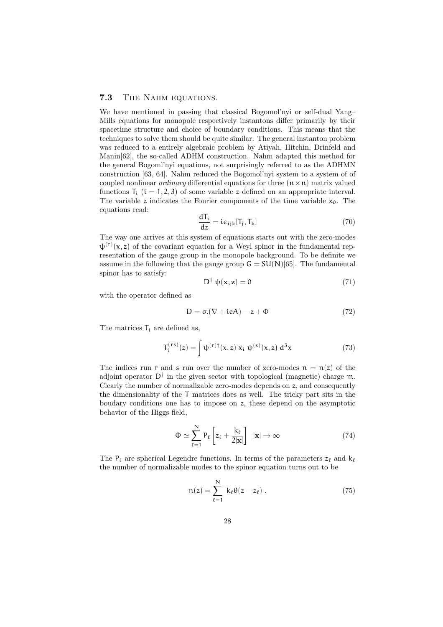### 7.3 THE NAHM EQUATIONS.

We have mentioned in passing that classical Bogomol'nyi or self-dual Yang– Mills equations for monopole respectively instantons differ primarily by their spacetime structure and choice of boundary conditions. This means that the techniques to solve them should be quite similar. The general instanton problem was reduced to a entirely algebraic problem by Atiyah, Hitchin, Drinfeld and Manin[62], the so-called ADHM construction. Nahm adapted this method for the general Bogoml'nyi equations, not surprisingly referred to as the ADHMN construction [63, 64]. Nahm reduced the Bogomol'nyi system to a system of of coupled nonlinear *ordinary* differential equations for three  $(n \times n)$  matrix valued functions  $T_i$  ( $i = 1, 2, 3$ ) of some variable z defined on an appropriate interval. The variable z indicates the Fourier components of the time variable  $x_0$ . The equations read:

$$
\frac{dT_i}{dz} = i\varepsilon_{ijk}[T_j, T_k]
$$
\n(70)

The way one arrives at this system of equations starts out with the zero-modes  $\psi^{(r)}(x, z)$  of the covariant equation for a Weyl spinor in the fundamental representation of the gauge group in the monopole background. To be definite we assume in the following that the gauge group  $G = SU(N)[65]$ . The fundamental spinor has to satisfy:

$$
D^{\dagger} \psi(\mathbf{x}, \mathbf{z}) = 0 \tag{71}
$$

with the operator defined as

$$
D = \sigma.(\nabla + ieA) - z + \Phi \tag{72}
$$

The matrices  $T_i$  are defined as,

$$
T_i^{(rs)}(z) = \int \psi^{(r)\dagger}(x, z) x_i \psi^{(s)}(x, z) d^3x \tag{73}
$$

The indices run r and s run over the number of zero-modes  $n = n(z)$  of the adjoint operator  $D^{\dagger}$  in the given sector with topological (magnetic) charge m. Clearly the number of normalizable zero-modes depends on z, and consequently the dimensionality of the T matrices does as well. The tricky part sits in the boudary conditions one has to impose on z, these depend on the asymptotic behavior of the Higgs field,

$$
\Phi \simeq \sum_{\ell=1}^{N} P_{\ell} \left[ z_{\ell} + \frac{k_{\ell}}{2|\mathbf{x}|} \right] \ |\mathbf{x}| \to \infty \tag{74}
$$

The P<sub> $\ell$ </sub> are spherical Legendre functions. In terms of the parameters  $z_{\ell}$  and k<sub> $\ell$ </sub> the number of normalizable modes to the spinor equation turns out to be

$$
n(z) = \sum_{\ell=1}^{N} k_{\ell} \theta(z - z_{\ell}). \qquad (75)
$$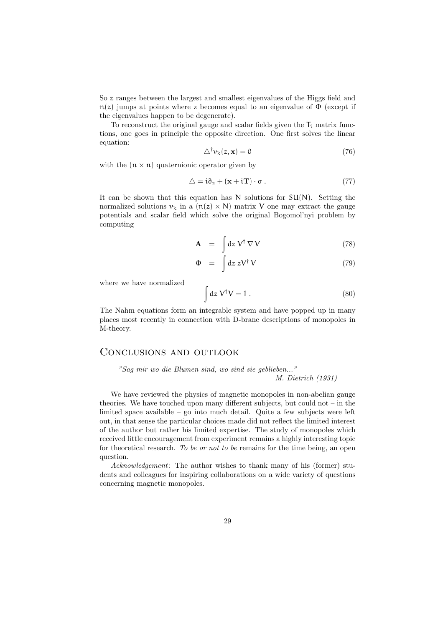So z ranges between the largest and smallest eigenvalues of the Higgs field and  $n(z)$  jumps at points where z becomes equal to an eigenvalue of  $\Phi$  (except if the eigenvalues happen to be degenerate).

To reconstruct the original gauge and scalar fields given the  $T_i$  matrix functions, one goes in principle the opposite direction. One first solves the linear equation:

$$
\triangle^{\dagger} \nu_{k}(z, \mathbf{x}) = 0 \tag{76}
$$

with the  $(n \times n)$  quaternionic operator given by

$$
\Delta = \mathbf{i}\partial_z + (\mathbf{x} + \mathbf{i}\mathbf{T}) \cdot \mathbf{\sigma} \,. \tag{77}
$$

It can be shown that this equation has  $N$  solutions for  $SU(N)$ . Setting the normalized solutions  $v_k$  in a  $(n(z) \times N)$  matrix V one may extract the gauge potentials and scalar field which solve the original Bogomol'nyi problem by computing

$$
\mathbf{A} = \int_{c} dz \, \mathbf{V}^{\dagger} \, \nabla \, \mathbf{V} \tag{78}
$$

$$
\Phi = \int dz \, z V^{\dagger} V \tag{79}
$$

where we have normalized

$$
\int dz \, V^{\dagger} V = 1 \,. \tag{80}
$$

The Nahm equations form an integrable system and have popped up in many places most recently in connection with D-brane descriptions of monopoles in M-theory.

### Conclusions and outlook

"Sag mir wo die Blumen sind, wo sind sie geblieben..." M. Dietrich (1931)

We have reviewed the physics of magnetic monopoles in non-abelian gauge theories. We have touched upon many different subjects, but could not – in the limited space available – go into much detail. Quite a few subjects were left out, in that sense the particular choices made did not reflect the limited interest of the author but rather his limited expertise. The study of monopoles which received little encouragement from experiment remains a highly interesting topic for theoretical research. To be or not to be remains for the time being, an open question.

Acknowledgement: The author wishes to thank many of his (former) students and colleagues for inspiring collaborations on a wide variety of questions concerning magnetic monopoles.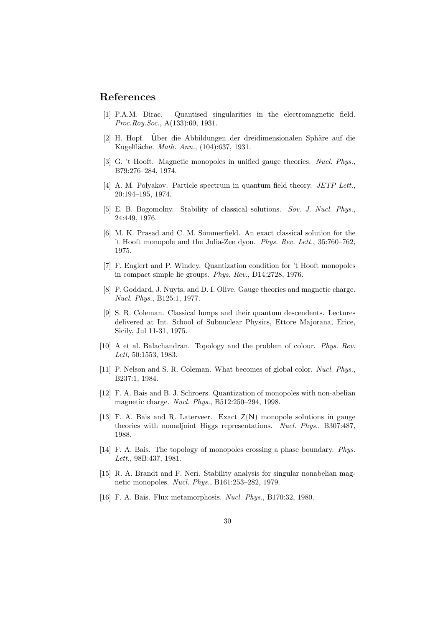## References

- [1] P.A.M. Dirac. Quantised singularities in the electromagnetic field. Proc.Roy.Soc., A(133):60, 1931.
- [2] H. Hopf. Uber die Abbildungen der dreidimensionalen Sphäre auf die Kugelfläche. Math. Ann., (104):637, 1931.
- [3] G. 't Hooft. Magnetic monopoles in unified gauge theories. Nucl. Phys., B79:276–284, 1974.
- [4] A. M. Polyakov. Particle spectrum in quantum field theory. JETP Lett., 20:194–195, 1974.
- [5] E. B. Bogomolny. Stability of classical solutions. Sov. J. Nucl. Phys., 24:449, 1976.
- [6] M. K. Prasad and C. M. Sommerfield. An exact classical solution for the 't Hooft monopole and the Julia-Zee dyon. Phys. Rev. Lett., 35:760–762, 1975.
- [7] F. Englert and P. Windey. Quantization condition for 't Hooft monopoles in compact simple lie groups. Phys. Rev., D14:2728, 1976.
- [8] P. Goddard, J. Nuyts, and D. I. Olive. Gauge theories and magnetic charge. Nucl. Phys., B125:1, 1977.
- [9] S. R. Coleman. Classical lumps and their quantum descendents. Lectures delivered at Int. School of Subnuclear Physics, Ettore Majorana, Erice, Sicily, Jul 11-31, 1975.
- [10] A et al. Balachandran. Topology and the problem of colour. Phys. Rev. Lett, 50:1553, 1983.
- [11] P. Nelson and S. R. Coleman. What becomes of global color. Nucl. Phys., B237:1, 1984.
- [12] F. A. Bais and B. J. Schroers. Quantization of monopoles with non-abelian magnetic charge. Nucl. Phys., B512:250–294, 1998.
- [13] F. A. Bais and R. Laterveer. Exact  $Z(N)$  monopole solutions in gauge theories with nonadjoint Higgs representations. Nucl. Phys., B307:487, 1988.
- [14] F. A. Bais. The topology of monopoles crossing a phase boundary. Phys. Lett., 98B:437, 1981.
- [15] R. A. Brandt and F. Neri. Stability analysis for singular nonabelian magnetic monopoles. Nucl. Phys., B161:253–282, 1979.
- [16] F. A. Bais. Flux metamorphosis. Nucl. Phys., B170:32, 1980.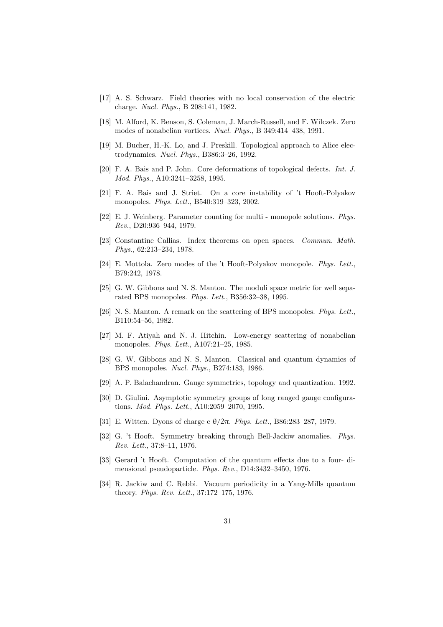- [17] A. S. Schwarz. Field theories with no local conservation of the electric charge. Nucl. Phys., B 208:141, 1982.
- [18] M. Alford, K. Benson, S. Coleman, J. March-Russell, and F. Wilczek. Zero modes of nonabelian vortices. Nucl. Phys., B 349:414–438, 1991.
- [19] M. Bucher, H.-K. Lo, and J. Preskill. Topological approach to Alice electrodynamics. Nucl. Phys., B386:3–26, 1992.
- [20] F. A. Bais and P. John. Core deformations of topological defects. Int. J. Mod. Phys., A10:3241–3258, 1995.
- [21] F. A. Bais and J. Striet. On a core instability of 't Hooft-Polyakov monopoles. Phys. Lett., B540:319–323, 2002.
- [22] E. J. Weinberg. Parameter counting for multi monopole solutions. Phys. Rev., D20:936–944, 1979.
- [23] Constantine Callias. Index theorems on open spaces. Commun. Math. Phys., 62:213–234, 1978.
- [24] E. Mottola. Zero modes of the 't Hooft-Polyakov monopole. Phys. Lett., B79:242, 1978.
- [25] G. W. Gibbons and N. S. Manton. The moduli space metric for well separated BPS monopoles. Phys. Lett., B356:32–38, 1995.
- [26] N. S. Manton. A remark on the scattering of BPS monopoles. Phys. Lett., B110:54–56, 1982.
- [27] M. F. Atiyah and N. J. Hitchin. Low-energy scattering of nonabelian monopoles. Phys. Lett., A107:21–25, 1985.
- [28] G. W. Gibbons and N. S. Manton. Classical and quantum dynamics of BPS monopoles. Nucl. Phys., B274:183, 1986.
- [29] A. P. Balachandran. Gauge symmetries, topology and quantization. 1992.
- [30] D. Giulini. Asymptotic symmetry groups of long ranged gauge configurations. Mod. Phys. Lett., A10:2059–2070, 1995.
- [31] E. Witten. Dyons of charge e  $\theta/2\pi$ . Phys. Lett., B86:283-287, 1979.
- [32] G. 't Hooft. Symmetry breaking through Bell-Jackiw anomalies. Phys. Rev. Lett., 37:8–11, 1976.
- [33] Gerard 't Hooft. Computation of the quantum effects due to a four- dimensional pseudoparticle. Phys. Rev., D14:3432–3450, 1976.
- [34] R. Jackiw and C. Rebbi. Vacuum periodicity in a Yang-Mills quantum theory. Phys. Rev. Lett., 37:172–175, 1976.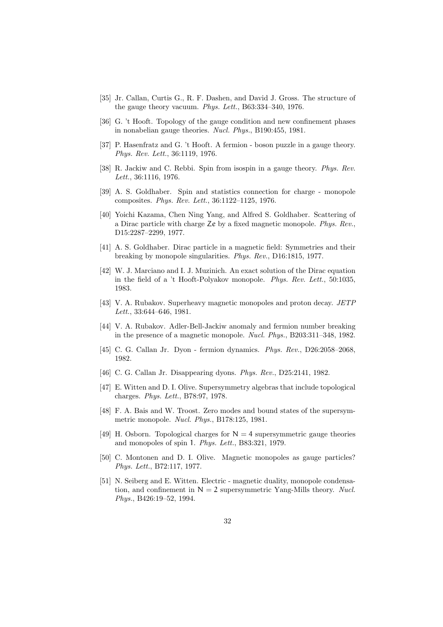- [35] Jr. Callan, Curtis G., R. F. Dashen, and David J. Gross. The structure of the gauge theory vacuum. Phys. Lett., B63:334–340, 1976.
- [36] G. 't Hooft. Topology of the gauge condition and new confinement phases in nonabelian gauge theories. Nucl. Phys., B190:455, 1981.
- [37] P. Hasenfratz and G. 't Hooft. A fermion boson puzzle in a gauge theory. Phys. Rev. Lett., 36:1119, 1976.
- [38] R. Jackiw and C. Rebbi. Spin from isospin in a gauge theory. Phys. Rev. Lett., 36:1116, 1976.
- [39] A. S. Goldhaber. Spin and statistics connection for charge monopole composites. Phys. Rev. Lett., 36:1122–1125, 1976.
- [40] Yoichi Kazama, Chen Ning Yang, and Alfred S. Goldhaber. Scattering of a Dirac particle with charge Ze by a fixed magnetic monopole. Phys. Rev., D15:2287–2299, 1977.
- [41] A. S. Goldhaber. Dirac particle in a magnetic field: Symmetries and their breaking by monopole singularities. Phys. Rev., D16:1815, 1977.
- [42] W. J. Marciano and I. J. Muzinich. An exact solution of the Dirac equation in the field of a 't Hooft-Polyakov monopole. Phys. Rev. Lett., 50:1035, 1983.
- [43] V. A. Rubakov. Superheavy magnetic monopoles and proton decay. *JETP* Lett., 33:644–646, 1981.
- [44] V. A. Rubakov. Adler-Bell-Jackiw anomaly and fermion number breaking in the presence of a magnetic monopole. Nucl. Phys., B203:311–348, 1982.
- [45] C. G. Callan Jr. Dyon fermion dynamics. Phys. Rev., D26:2058–2068, 1982.
- [46] C. G. Callan Jr. Disappearing dyons. *Phys. Rev.*, D25:2141, 1982.
- [47] E. Witten and D. I. Olive. Supersymmetry algebras that include topological charges. Phys. Lett., B78:97, 1978.
- [48] F. A. Bais and W. Troost. Zero modes and bound states of the supersymmetric monopole. Nucl. Phys., B178:125, 1981.
- [49] H. Osborn. Topological charges for  $N = 4$  supersymmetric gauge theories and monopoles of spin 1. Phys. Lett., B83:321, 1979.
- [50] C. Montonen and D. I. Olive. Magnetic monopoles as gauge particles? Phys. Lett., B72:117, 1977.
- [51] N. Seiberg and E. Witten. Electric magnetic duality, monopole condensation, and confinement in  $N = 2$  supersymmetric Yang-Mills theory. Nucl. Phys., B426:19–52, 1994.